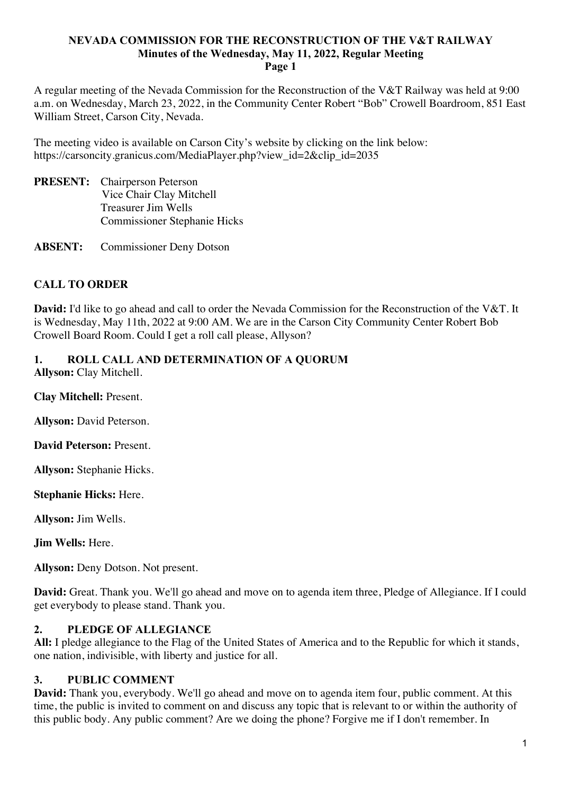A regular meeting of the Nevada Commission for the Reconstruction of the V&T Railway was held at 9:00 a.m. on Wednesday, March 23, 2022, in the Community Center Robert "Bob" Crowell Boardroom, 851 East William Street, Carson City, Nevada.

The meeting video is available on Carson City's website by clicking on the link below: https://carsoncity.granicus.com/MediaPlayer.php?view\_id=2&clip\_id=2035

**PRESENT:** Chairperson Peterson Vice Chair Clay Mitchell Treasurer Jim Wells Commissioner Stephanie Hicks

**ABSENT:** Commissioner Deny Dotson

# **CALL TO ORDER**

**David:** I'd like to go ahead and call to order the Nevada Commission for the Reconstruction of the V&T. It is Wednesday, May 11th, 2022 at 9:00 AM. We are in the Carson City Community Center Robert Bob Crowell Board Room. Could I get a roll call please, Allyson?

# **1. ROLL CALL AND DETERMINATION OF A QUORUM**

**Allyson:** Clay Mitchell.

**Clay Mitchell:** Present.

**Allyson:** David Peterson.

**David Peterson:** Present.

**Allyson:** Stephanie Hicks.

**Stephanie Hicks:** Here.

**Allyson:** Jim Wells.

**Jim Wells:** Here.

**Allyson:** Deny Dotson. Not present.

**David:** Great. Thank you. We'll go ahead and move on to agenda item three, Pledge of Allegiance. If I could get everybody to please stand. Thank you.

# **2. PLEDGE OF ALLEGIANCE**

**All:** I pledge allegiance to the Flag of the United States of America and to the Republic for which it stands, one nation, indivisible, with liberty and justice for all.

# **3. PUBLIC COMMENT**

**David:** Thank you, everybody. We'll go ahead and move on to agenda item four, public comment. At this time, the public is invited to comment on and discuss any topic that is relevant to or within the authority of this public body. Any public comment? Are we doing the phone? Forgive me if I don't remember. In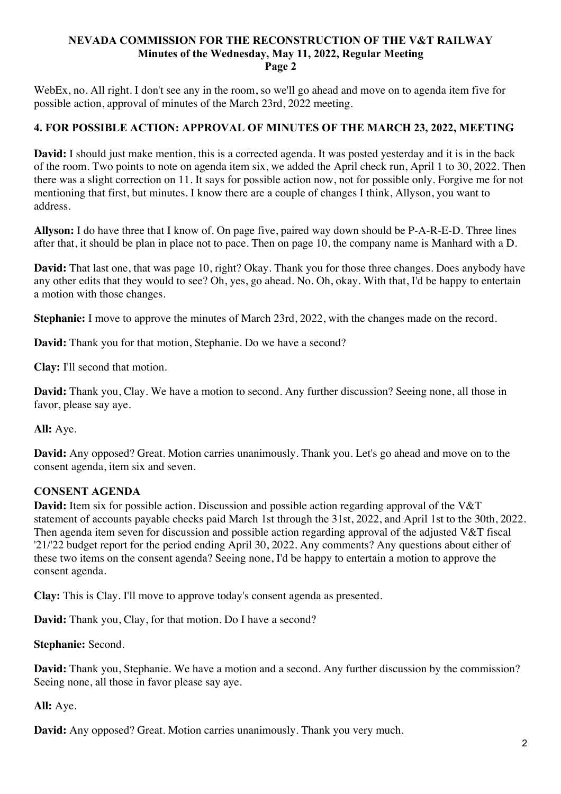WebEx, no. All right. I don't see any in the room, so we'll go ahead and move on to agenda item five for possible action, approval of minutes of the March 23rd, 2022 meeting.

# **4. FOR POSSIBLE ACTION: APPROVAL OF MINUTES OF THE MARCH 23, 2022, MEETING**

**David:** I should just make mention, this is a corrected agenda. It was posted yesterday and it is in the back of the room. Two points to note on agenda item six, we added the April check run, April 1 to 30, 2022. Then there was a slight correction on 11. It says for possible action now, not for possible only. Forgive me for not mentioning that first, but minutes. I know there are a couple of changes I think, Allyson, you want to address.

**Allyson:** I do have three that I know of. On page five, paired way down should be P-A-R-E-D. Three lines after that, it should be plan in place not to pace. Then on page 10, the company name is Manhard with a D.

**David:** That last one, that was page 10, right? Okay. Thank you for those three changes. Does anybody have any other edits that they would to see? Oh, yes, go ahead. No. Oh, okay. With that, I'd be happy to entertain a motion with those changes.

**Stephanie:** I move to approve the minutes of March 23rd, 2022, with the changes made on the record.

**David:** Thank you for that motion, Stephanie. Do we have a second?

**Clay:** I'll second that motion.

**David:** Thank you, Clay. We have a motion to second. Any further discussion? Seeing none, all those in favor, please say aye.

**All:** Aye.

**David:** Any opposed? Great. Motion carries unanimously. Thank you. Let's go ahead and move on to the consent agenda, item six and seven.

# **CONSENT AGENDA**

**David:** Item six for possible action. Discussion and possible action regarding approval of the V&T statement of accounts payable checks paid March 1st through the 31st, 2022, and April 1st to the 30th, 2022. Then agenda item seven for discussion and possible action regarding approval of the adjusted V&T fiscal '21/'22 budget report for the period ending April 30, 2022. Any comments? Any questions about either of these two items on the consent agenda? Seeing none, I'd be happy to entertain a motion to approve the consent agenda.

**Clay:** This is Clay. I'll move to approve today's consent agenda as presented.

**David:** Thank you, Clay, for that motion. Do I have a second?

**Stephanie:** Second.

**David:** Thank you, Stephanie. We have a motion and a second. Any further discussion by the commission? Seeing none, all those in favor please say aye.

**All:** Aye.

**David:** Any opposed? Great. Motion carries unanimously. Thank you very much.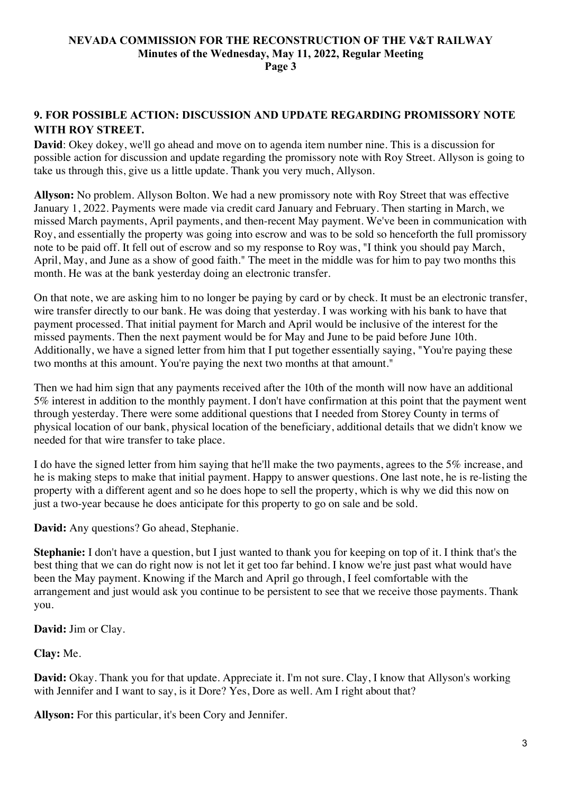# **9. FOR POSSIBLE ACTION: DISCUSSION AND UPDATE REGARDING PROMISSORY NOTE WITH ROY STREET.**

**David**: Okey dokey, we'll go ahead and move on to agenda item number nine. This is a discussion for possible action for discussion and update regarding the promissory note with Roy Street. Allyson is going to take us through this, give us a little update. Thank you very much, Allyson.

**Allyson:** No problem. Allyson Bolton. We had a new promissory note with Roy Street that was effective January 1, 2022. Payments were made via credit card January and February. Then starting in March, we missed March payments, April payments, and then-recent May payment. We've been in communication with Roy, and essentially the property was going into escrow and was to be sold so henceforth the full promissory note to be paid off. It fell out of escrow and so my response to Roy was, "I think you should pay March, April, May, and June as a show of good faith." The meet in the middle was for him to pay two months this month. He was at the bank yesterday doing an electronic transfer.

On that note, we are asking him to no longer be paying by card or by check. It must be an electronic transfer, wire transfer directly to our bank. He was doing that yesterday. I was working with his bank to have that payment processed. That initial payment for March and April would be inclusive of the interest for the missed payments. Then the next payment would be for May and June to be paid before June 10th. Additionally, we have a signed letter from him that I put together essentially saying, "You're paying these two months at this amount. You're paying the next two months at that amount."

Then we had him sign that any payments received after the 10th of the month will now have an additional 5% interest in addition to the monthly payment. I don't have confirmation at this point that the payment went through yesterday. There were some additional questions that I needed from Storey County in terms of physical location of our bank, physical location of the beneficiary, additional details that we didn't know we needed for that wire transfer to take place.

I do have the signed letter from him saying that he'll make the two payments, agrees to the 5% increase, and he is making steps to make that initial payment. Happy to answer questions. One last note, he is re-listing the property with a different agent and so he does hope to sell the property, which is why we did this now on just a two-year because he does anticipate for this property to go on sale and be sold.

**David:** Any questions? Go ahead, Stephanie.

**Stephanie:** I don't have a question, but I just wanted to thank you for keeping on top of it. I think that's the best thing that we can do right now is not let it get too far behind. I know we're just past what would have been the May payment. Knowing if the March and April go through, I feel comfortable with the arrangement and just would ask you continue to be persistent to see that we receive those payments. Thank you.

# **David:** Jim or Clay.

# **Clay:** Me.

**David:** Okay. Thank you for that update. Appreciate it. I'm not sure. Clay, I know that Allyson's working with Jennifer and I want to say, is it Dore? Yes, Dore as well. Am I right about that?

**Allyson:** For this particular, it's been Cory and Jennifer.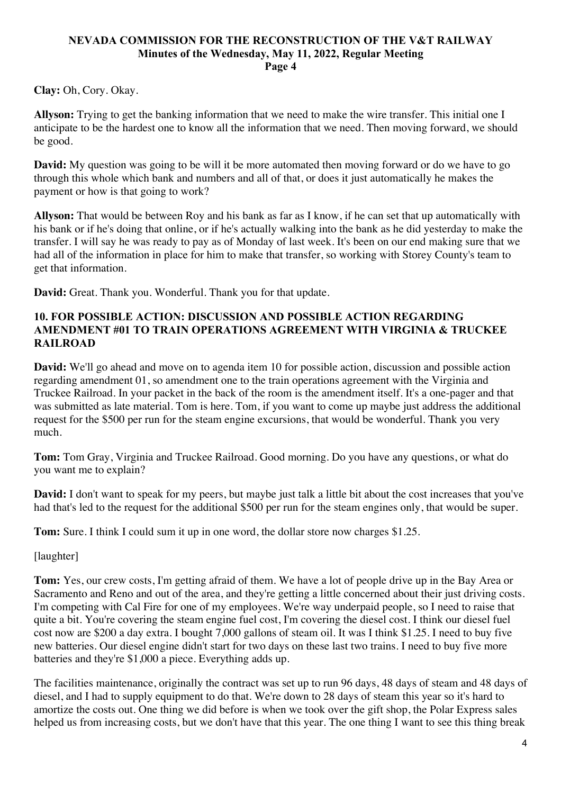**Clay:** Oh, Cory. Okay.

**Allyson:** Trying to get the banking information that we need to make the wire transfer. This initial one I anticipate to be the hardest one to know all the information that we need. Then moving forward, we should be good.

**David:** My question was going to be will it be more automated then moving forward or do we have to go through this whole which bank and numbers and all of that, or does it just automatically he makes the payment or how is that going to work?

**Allyson:** That would be between Roy and his bank as far as I know, if he can set that up automatically with his bank or if he's doing that online, or if he's actually walking into the bank as he did yesterday to make the transfer. I will say he was ready to pay as of Monday of last week. It's been on our end making sure that we had all of the information in place for him to make that transfer, so working with Storey County's team to get that information.

**David:** Great. Thank you. Wonderful. Thank you for that update.

# **10. FOR POSSIBLE ACTION: DISCUSSION AND POSSIBLE ACTION REGARDING AMENDMENT #01 TO TRAIN OPERATIONS AGREEMENT WITH VIRGINIA & TRUCKEE RAILROAD**

**David:** We'll go ahead and move on to agenda item 10 for possible action, discussion and possible action regarding amendment 01, so amendment one to the train operations agreement with the Virginia and Truckee Railroad. In your packet in the back of the room is the amendment itself. It's a one-pager and that was submitted as late material. Tom is here. Tom, if you want to come up maybe just address the additional request for the \$500 per run for the steam engine excursions, that would be wonderful. Thank you very much.

**Tom:** Tom Gray, Virginia and Truckee Railroad. Good morning. Do you have any questions, or what do you want me to explain?

**David:** I don't want to speak for my peers, but maybe just talk a little bit about the cost increases that you've had that's led to the request for the additional \$500 per run for the steam engines only, that would be super.

**Tom:** Sure. I think I could sum it up in one word, the dollar store now charges \$1.25.

[laughter]

**Tom:** Yes, our crew costs, I'm getting afraid of them. We have a lot of people drive up in the Bay Area or Sacramento and Reno and out of the area, and they're getting a little concerned about their just driving costs. I'm competing with Cal Fire for one of my employees. We're way underpaid people, so I need to raise that quite a bit. You're covering the steam engine fuel cost, I'm covering the diesel cost. I think our diesel fuel cost now are \$200 a day extra. I bought 7,000 gallons of steam oil. It was I think \$1.25. I need to buy five new batteries. Our diesel engine didn't start for two days on these last two trains. I need to buy five more batteries and they're \$1,000 a piece. Everything adds up.

The facilities maintenance, originally the contract was set up to run 96 days, 48 days of steam and 48 days of diesel, and I had to supply equipment to do that. We're down to 28 days of steam this year so it's hard to amortize the costs out. One thing we did before is when we took over the gift shop, the Polar Express sales helped us from increasing costs, but we don't have that this year. The one thing I want to see this thing break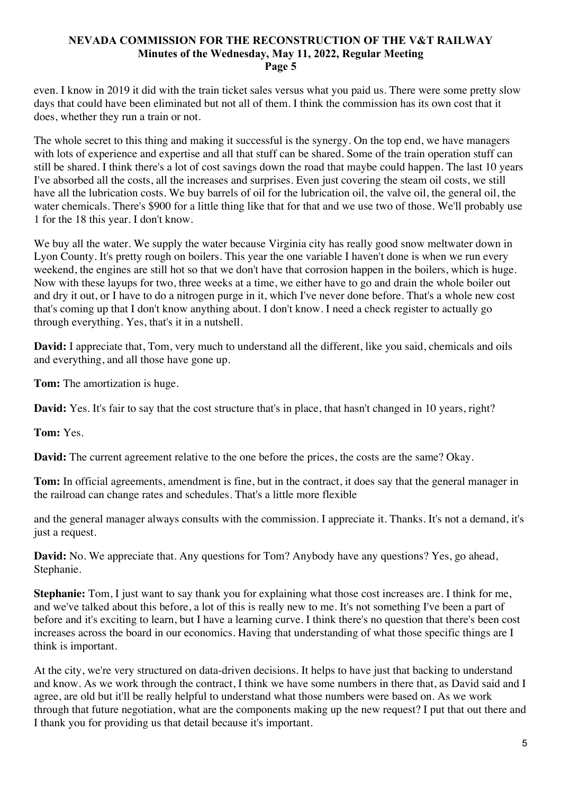even. I know in 2019 it did with the train ticket sales versus what you paid us. There were some pretty slow days that could have been eliminated but not all of them. I think the commission has its own cost that it does, whether they run a train or not.

The whole secret to this thing and making it successful is the synergy. On the top end, we have managers with lots of experience and expertise and all that stuff can be shared. Some of the train operation stuff can still be shared. I think there's a lot of cost savings down the road that maybe could happen. The last 10 years I've absorbed all the costs, all the increases and surprises. Even just covering the steam oil costs, we still have all the lubrication costs. We buy barrels of oil for the lubrication oil, the valve oil, the general oil, the water chemicals. There's \$900 for a little thing like that for that and we use two of those. We'll probably use 1 for the 18 this year. I don't know.

We buy all the water. We supply the water because Virginia city has really good snow meltwater down in Lyon County. It's pretty rough on boilers. This year the one variable I haven't done is when we run every weekend, the engines are still hot so that we don't have that corrosion happen in the boilers, which is huge. Now with these layups for two, three weeks at a time, we either have to go and drain the whole boiler out and dry it out, or I have to do a nitrogen purge in it, which I've never done before. That's a whole new cost that's coming up that I don't know anything about. I don't know. I need a check register to actually go through everything. Yes, that's it in a nutshell.

**David:** I appreciate that, Tom, very much to understand all the different, like you said, chemicals and oils and everything, and all those have gone up.

**Tom:** The amortization is huge.

**David:** Yes. It's fair to say that the cost structure that's in place, that hasn't changed in 10 years, right?

**Tom:** Yes.

**David:** The current agreement relative to the one before the prices, the costs are the same? Okay.

**Tom:** In official agreements, amendment is fine, but in the contract, it does say that the general manager in the railroad can change rates and schedules. That's a little more flexible

and the general manager always consults with the commission. I appreciate it. Thanks. It's not a demand, it's just a request.

**David:** No. We appreciate that. Any questions for Tom? Anybody have any questions? Yes, go ahead, Stephanie.

**Stephanie:** Tom, I just want to say thank you for explaining what those cost increases are. I think for me, and we've talked about this before, a lot of this is really new to me. It's not something I've been a part of before and it's exciting to learn, but I have a learning curve. I think there's no question that there's been cost increases across the board in our economics. Having that understanding of what those specific things are I think is important.

At the city, we're very structured on data-driven decisions. It helps to have just that backing to understand and know. As we work through the contract, I think we have some numbers in there that, as David said and I agree, are old but it'll be really helpful to understand what those numbers were based on. As we work through that future negotiation, what are the components making up the new request? I put that out there and I thank you for providing us that detail because it's important.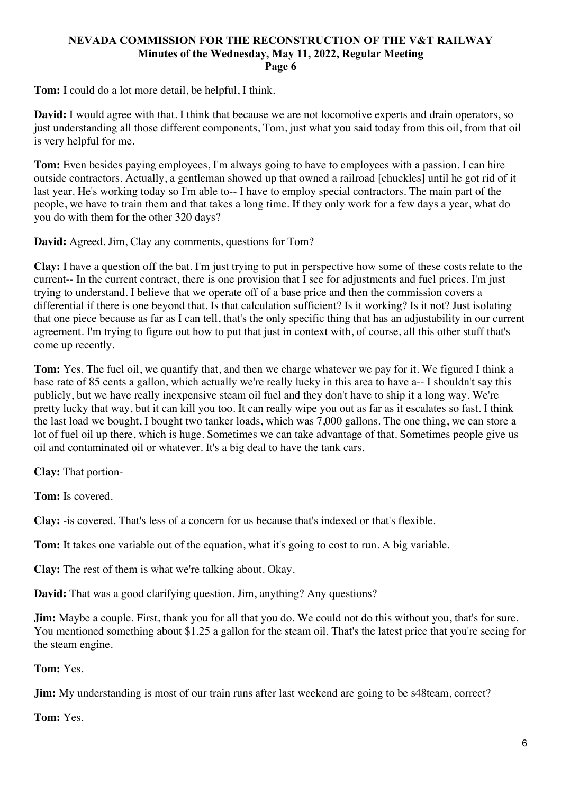**Tom:** I could do a lot more detail, be helpful, I think.

**David:** I would agree with that. I think that because we are not locomotive experts and drain operators, so just understanding all those different components, Tom, just what you said today from this oil, from that oil is very helpful for me.

**Tom:** Even besides paying employees, I'm always going to have to employees with a passion. I can hire outside contractors. Actually, a gentleman showed up that owned a railroad [chuckles] until he got rid of it last year. He's working today so I'm able to-- I have to employ special contractors. The main part of the people, we have to train them and that takes a long time. If they only work for a few days a year, what do you do with them for the other 320 days?

**David:** Agreed. Jim, Clay any comments, questions for Tom?

**Clay:** I have a question off the bat. I'm just trying to put in perspective how some of these costs relate to the current-- In the current contract, there is one provision that I see for adjustments and fuel prices. I'm just trying to understand. I believe that we operate off of a base price and then the commission covers a differential if there is one beyond that. Is that calculation sufficient? Is it working? Is it not? Just isolating that one piece because as far as I can tell, that's the only specific thing that has an adjustability in our current agreement. I'm trying to figure out how to put that just in context with, of course, all this other stuff that's come up recently.

**Tom:** Yes. The fuel oil, we quantify that, and then we charge whatever we pay for it. We figured I think a base rate of 85 cents a gallon, which actually we're really lucky in this area to have a-- I shouldn't say this publicly, but we have really inexpensive steam oil fuel and they don't have to ship it a long way. We're pretty lucky that way, but it can kill you too. It can really wipe you out as far as it escalates so fast. I think the last load we bought, I bought two tanker loads, which was 7,000 gallons. The one thing, we can store a lot of fuel oil up there, which is huge. Sometimes we can take advantage of that. Sometimes people give us oil and contaminated oil or whatever. It's a big deal to have the tank cars.

**Clay:** That portion-

**Tom:** Is covered.

**Clay:** -is covered. That's less of a concern for us because that's indexed or that's flexible.

**Tom:** It takes one variable out of the equation, what it's going to cost to run. A big variable.

**Clay:** The rest of them is what we're talking about. Okay.

**David:** That was a good clarifying question. Jim, anything? Any questions?

**Jim:** Maybe a couple. First, thank you for all that you do. We could not do this without you, that's for sure. You mentioned something about \$1.25 a gallon for the steam oil. That's the latest price that you're seeing for the steam engine.

**Tom:** Yes.

**Jim:** My understanding is most of our train runs after last weekend are going to be s48team, correct?

**Tom:** Yes.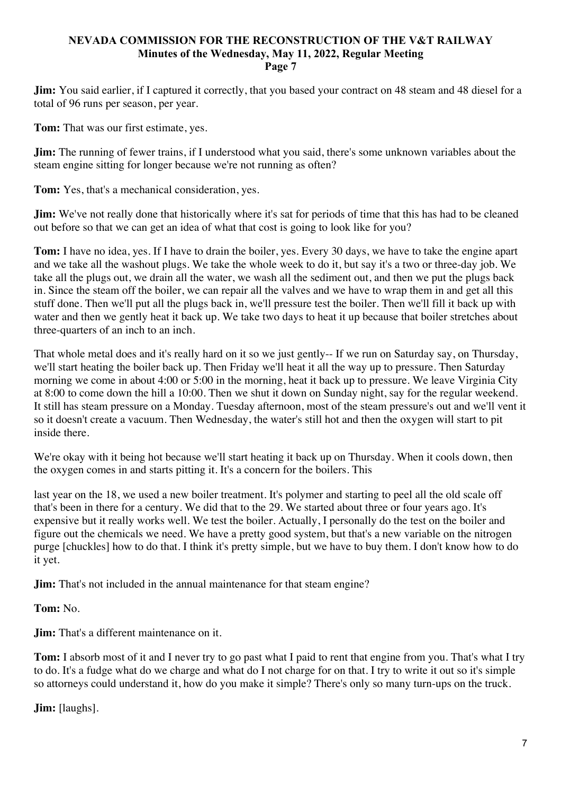**Jim:** You said earlier, if I captured it correctly, that you based your contract on 48 steam and 48 diesel for a total of 96 runs per season, per year.

**Tom:** That was our first estimate, yes.

**Jim:** The running of fewer trains, if I understood what you said, there's some unknown variables about the steam engine sitting for longer because we're not running as often?

**Tom:** Yes, that's a mechanical consideration, yes.

**Jim:** We've not really done that historically where it's sat for periods of time that this has had to be cleaned out before so that we can get an idea of what that cost is going to look like for you?

**Tom:** I have no idea, yes. If I have to drain the boiler, yes. Every 30 days, we have to take the engine apart and we take all the washout plugs. We take the whole week to do it, but say it's a two or three-day job. We take all the plugs out, we drain all the water, we wash all the sediment out, and then we put the plugs back in. Since the steam off the boiler, we can repair all the valves and we have to wrap them in and get all this stuff done. Then we'll put all the plugs back in, we'll pressure test the boiler. Then we'll fill it back up with water and then we gently heat it back up. We take two days to heat it up because that boiler stretches about three-quarters of an inch to an inch.

That whole metal does and it's really hard on it so we just gently-- If we run on Saturday say, on Thursday, we'll start heating the boiler back up. Then Friday we'll heat it all the way up to pressure. Then Saturday morning we come in about 4:00 or 5:00 in the morning, heat it back up to pressure. We leave Virginia City at 8:00 to come down the hill a 10:00. Then we shut it down on Sunday night, say for the regular weekend. It still has steam pressure on a Monday. Tuesday afternoon, most of the steam pressure's out and we'll vent it so it doesn't create a vacuum. Then Wednesday, the water's still hot and then the oxygen will start to pit inside there.

We're okay with it being hot because we'll start heating it back up on Thursday. When it cools down, then the oxygen comes in and starts pitting it. It's a concern for the boilers. This

last year on the 18, we used a new boiler treatment. It's polymer and starting to peel all the old scale off that's been in there for a century. We did that to the 29. We started about three or four years ago. It's expensive but it really works well. We test the boiler. Actually, I personally do the test on the boiler and figure out the chemicals we need. We have a pretty good system, but that's a new variable on the nitrogen purge [chuckles] how to do that. I think it's pretty simple, but we have to buy them. I don't know how to do it yet.

**Jim:** That's not included in the annual maintenance for that steam engine?

**Tom:** No.

**Jim:** That's a different maintenance on it.

**Tom:** I absorb most of it and I never try to go past what I paid to rent that engine from you. That's what I try to do. It's a fudge what do we charge and what do I not charge for on that. I try to write it out so it's simple so attorneys could understand it, how do you make it simple? There's only so many turn-ups on the truck.

**Jim:** [laughs].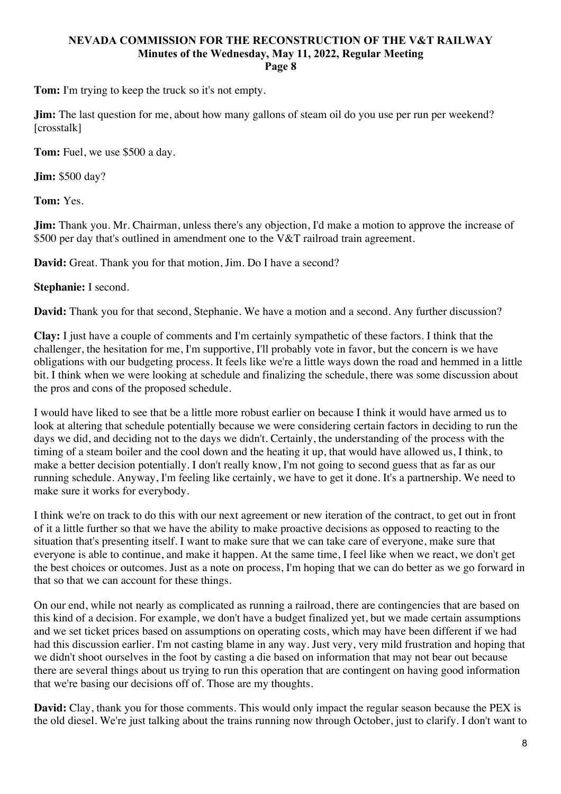**Tom:** I'm trying to keep the truck so it's not empty.

**Jim:** The last question for me, about how many gallons of steam oil do you use per run per weekend? [crosstalk]

**Tom:** Fuel, we use \$500 a day.

**Jim:** \$500 day?

**Tom:** Yes.

**Jim:** Thank you. Mr. Chairman, unless there's any objection, I'd make a motion to approve the increase of \$500 per day that's outlined in amendment one to the V&T railroad train agreement.

**David:** Great. Thank you for that motion, Jim. Do I have a second?

#### **Stephanie:** I second.

**David:** Thank you for that second, Stephanie. We have a motion and a second. Any further discussion?

**Clay:** I just have a couple of comments and I'm certainly sympathetic of these factors. I think that the challenger, the hesitation for me, I'm supportive, I'll probably vote in favor, but the concern is we have obligations with our budgeting process. It feels like we're a little ways down the road and hemmed in a little bit. I think when we were looking at schedule and finalizing the schedule, there was some discussion about the pros and cons of the proposed schedule.

I would have liked to see that be a little more robust earlier on because I think it would have armed us to look at altering that schedule potentially because we were considering certain factors in deciding to run the days we did, and deciding not to the days we didn't. Certainly, the understanding of the process with the timing of a steam boiler and the cool down and the heating it up, that would have allowed us, I think, to make a better decision potentially. I don't really know, I'm not going to second guess that as far as our running schedule. Anyway, I'm feeling like certainly, we have to get it done. It's a partnership. We need to make sure it works for everybody.

I think we're on track to do this with our next agreement or new iteration of the contract, to get out in front of it a little further so that we have the ability to make proactive decisions as opposed to reacting to the situation that's presenting itself. I want to make sure that we can take care of everyone, make sure that everyone is able to continue, and make it happen. At the same time, I feel like when we react, we don't get the best choices or outcomes. Just as a note on process, I'm hoping that we can do better as we go forward in that so that we can account for these things.

On our end, while not nearly as complicated as running a railroad, there are contingencies that are based on this kind of a decision. For example, we don't have a budget finalized yet, but we made certain assumptions and we set ticket prices based on assumptions on operating costs, which may have been different if we had had this discussion earlier. I'm not casting blame in any way. Just very, very mild frustration and hoping that we didn't shoot ourselves in the foot by casting a die based on information that may not bear out because there are several things about us trying to run this operation that are contingent on having good information that we're basing our decisions off of. Those are my thoughts.

**David:** Clay, thank you for those comments. This would only impact the regular season because the PEX is the old diesel. We're just talking about the trains running now through October, just to clarify. I don't want to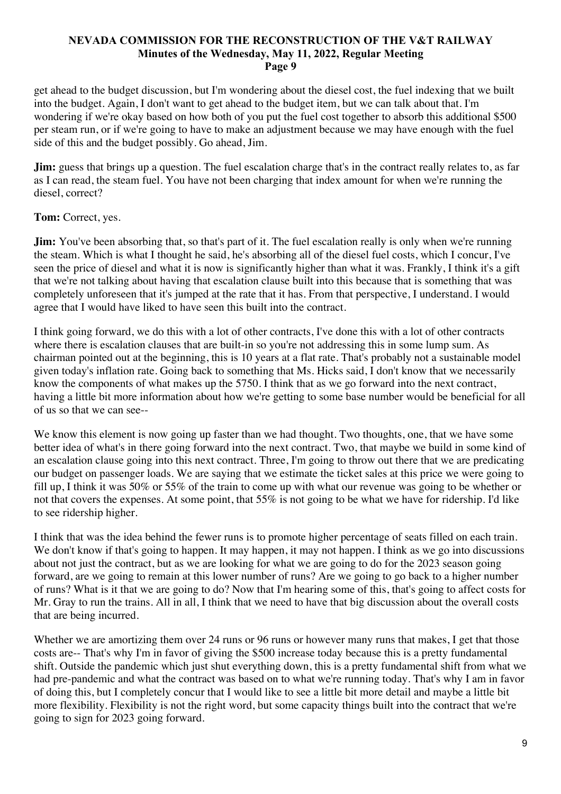get ahead to the budget discussion, but I'm wondering about the diesel cost, the fuel indexing that we built into the budget. Again, I don't want to get ahead to the budget item, but we can talk about that. I'm wondering if we're okay based on how both of you put the fuel cost together to absorb this additional \$500 per steam run, or if we're going to have to make an adjustment because we may have enough with the fuel side of this and the budget possibly. Go ahead, Jim.

**Jim:** guess that brings up a question. The fuel escalation charge that's in the contract really relates to, as far as I can read, the steam fuel. You have not been charging that index amount for when we're running the diesel, correct?

**Tom:** Correct, yes.

**Jim:** You've been absorbing that, so that's part of it. The fuel escalation really is only when we're running the steam. Which is what I thought he said, he's absorbing all of the diesel fuel costs, which I concur, I've seen the price of diesel and what it is now is significantly higher than what it was. Frankly, I think it's a gift that we're not talking about having that escalation clause built into this because that is something that was completely unforeseen that it's jumped at the rate that it has. From that perspective, I understand. I would agree that I would have liked to have seen this built into the contract.

I think going forward, we do this with a lot of other contracts, I've done this with a lot of other contracts where there is escalation clauses that are built-in so you're not addressing this in some lump sum. As chairman pointed out at the beginning, this is 10 years at a flat rate. That's probably not a sustainable model given today's inflation rate. Going back to something that Ms. Hicks said, I don't know that we necessarily know the components of what makes up the 5750. I think that as we go forward into the next contract, having a little bit more information about how we're getting to some base number would be beneficial for all of us so that we can see--

We know this element is now going up faster than we had thought. Two thoughts, one, that we have some better idea of what's in there going forward into the next contract. Two, that maybe we build in some kind of an escalation clause going into this next contract. Three, I'm going to throw out there that we are predicating our budget on passenger loads. We are saying that we estimate the ticket sales at this price we were going to fill up, I think it was 50% or 55% of the train to come up with what our revenue was going to be whether or not that covers the expenses. At some point, that 55% is not going to be what we have for ridership. I'd like to see ridership higher.

I think that was the idea behind the fewer runs is to promote higher percentage of seats filled on each train. We don't know if that's going to happen. It may happen, it may not happen. I think as we go into discussions about not just the contract, but as we are looking for what we are going to do for the 2023 season going forward, are we going to remain at this lower number of runs? Are we going to go back to a higher number of runs? What is it that we are going to do? Now that I'm hearing some of this, that's going to affect costs for Mr. Gray to run the trains. All in all, I think that we need to have that big discussion about the overall costs that are being incurred.

Whether we are amortizing them over 24 runs or 96 runs or however many runs that makes, I get that those costs are-- That's why I'm in favor of giving the \$500 increase today because this is a pretty fundamental shift. Outside the pandemic which just shut everything down, this is a pretty fundamental shift from what we had pre-pandemic and what the contract was based on to what we're running today. That's why I am in favor of doing this, but I completely concur that I would like to see a little bit more detail and maybe a little bit more flexibility. Flexibility is not the right word, but some capacity things built into the contract that we're going to sign for 2023 going forward.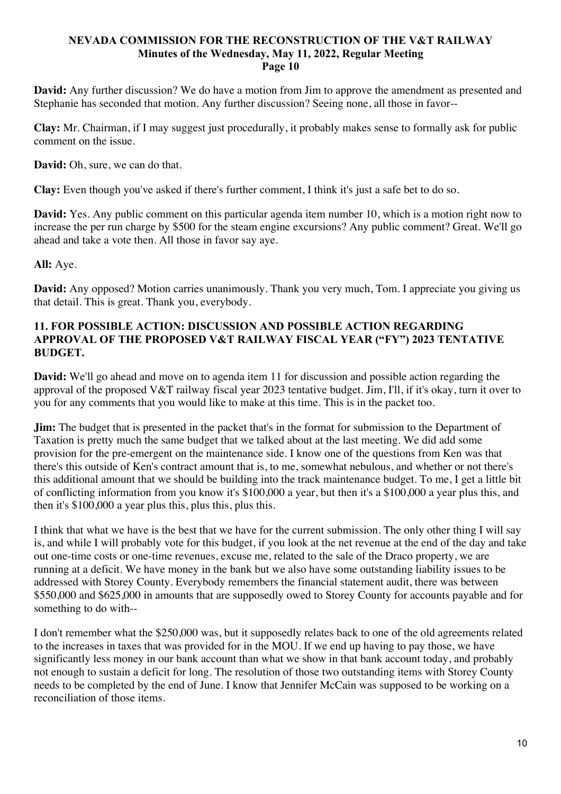**David:** Any further discussion? We do have a motion from Jim to approve the amendment as presented and Stephanie has seconded that motion. Any further discussion? Seeing none, all those in favor--

**Clay:** Mr. Chairman, if I may suggest just procedurally, it probably makes sense to formally ask for public comment on the issue.

**David:** Oh, sure, we can do that.

**Clay:** Even though you've asked if there's further comment, I think it's just a safe bet to do so.

**David:** Yes. Any public comment on this particular agenda item number 10, which is a motion right now to increase the per run charge by \$500 for the steam engine excursions? Any public comment? Great. We'll go ahead and take a vote then. All those in favor say aye.

# **All:** Aye.

**David:** Any opposed? Motion carries unanimously. Thank you very much, Tom. I appreciate you giving us that detail. This is great. Thank you, everybody.

# **11. FOR POSSIBLE ACTION: DISCUSSION AND POSSIBLE ACTION REGARDING APPROVAL OF THE PROPOSED V&T RAILWAY FISCAL YEAR ("FY") 2023 TENTATIVE BUDGET.**

**David:** We'll go ahead and move on to agenda item 11 for discussion and possible action regarding the approval of the proposed V&T railway fiscal year 2023 tentative budget. Jim, I'll, if it's okay, turn it over to you for any comments that you would like to make at this time. This is in the packet too.

**Jim:** The budget that is presented in the packet that's in the format for submission to the Department of Taxation is pretty much the same budget that we talked about at the last meeting. We did add some provision for the pre-emergent on the maintenance side. I know one of the questions from Ken was that there's this outside of Ken's contract amount that is, to me, somewhat nebulous, and whether or not there's this additional amount that we should be building into the track maintenance budget. To me, I get a little bit of conflicting information from you know it's \$100,000 a year, but then it's a \$100,000 a year plus this, and then it's \$100,000 a year plus this, plus this, plus this.

I think that what we have is the best that we have for the current submission. The only other thing I will say is, and while I will probably vote for this budget, if you look at the net revenue at the end of the day and take out one-time costs or one-time revenues, excuse me, related to the sale of the Draco property, we are running at a deficit. We have money in the bank but we also have some outstanding liability issues to be addressed with Storey County. Everybody remembers the financial statement audit, there was between \$550,000 and \$625,000 in amounts that are supposedly owed to Storey County for accounts payable and for something to do with--

I don't remember what the \$250,000 was, but it supposedly relates back to one of the old agreements related to the increases in taxes that was provided for in the MOU. If we end up having to pay those, we have significantly less money in our bank account than what we show in that bank account today, and probably not enough to sustain a deficit for long. The resolution of those two outstanding items with Storey County needs to be completed by the end of June. I know that Jennifer McCain was supposed to be working on a reconciliation of those items.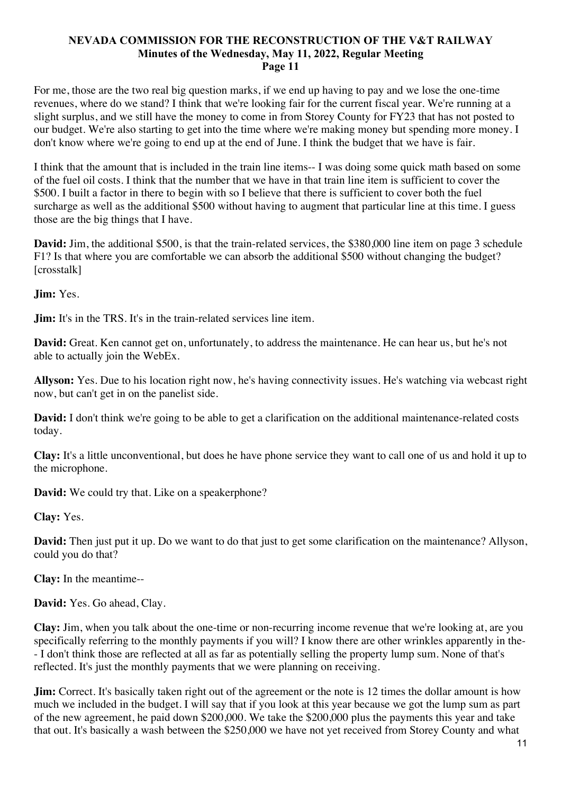For me, those are the two real big question marks, if we end up having to pay and we lose the one-time revenues, where do we stand? I think that we're looking fair for the current fiscal year. We're running at a slight surplus, and we still have the money to come in from Storey County for FY23 that has not posted to our budget. We're also starting to get into the time where we're making money but spending more money. I don't know where we're going to end up at the end of June. I think the budget that we have is fair.

I think that the amount that is included in the train line items-- I was doing some quick math based on some of the fuel oil costs. I think that the number that we have in that train line item is sufficient to cover the \$500. I built a factor in there to begin with so I believe that there is sufficient to cover both the fuel surcharge as well as the additional \$500 without having to augment that particular line at this time. I guess those are the big things that I have.

**David:** Jim, the additional \$500, is that the train-related services, the \$380,000 line item on page 3 schedule F1? Is that where you are comfortable we can absorb the additional \$500 without changing the budget? [crosstalk]

**Jim:** Yes.

**Jim:** It's in the TRS. It's in the train-related services line item.

**David:** Great. Ken cannot get on, unfortunately, to address the maintenance. He can hear us, but he's not able to actually join the WebEx.

**Allyson:** Yes. Due to his location right now, he's having connectivity issues. He's watching via webcast right now, but can't get in on the panelist side.

**David:** I don't think we're going to be able to get a clarification on the additional maintenance-related costs today.

**Clay:** It's a little unconventional, but does he have phone service they want to call one of us and hold it up to the microphone.

**David:** We could try that. Like on a speakerphone?

**Clay:** Yes.

**David:** Then just put it up. Do we want to do that just to get some clarification on the maintenance? Allyson, could you do that?

**Clay:** In the meantime--

**David:** Yes. Go ahead, Clay.

**Clay:** Jim, when you talk about the one-time or non-recurring income revenue that we're looking at, are you specifically referring to the monthly payments if you will? I know there are other wrinkles apparently in the- - I don't think those are reflected at all as far as potentially selling the property lump sum. None of that's reflected. It's just the monthly payments that we were planning on receiving.

**Jim:** Correct. It's basically taken right out of the agreement or the note is 12 times the dollar amount is how much we included in the budget. I will say that if you look at this year because we got the lump sum as part of the new agreement, he paid down \$200,000. We take the \$200,000 plus the payments this year and take that out. It's basically a wash between the \$250,000 we have not yet received from Storey County and what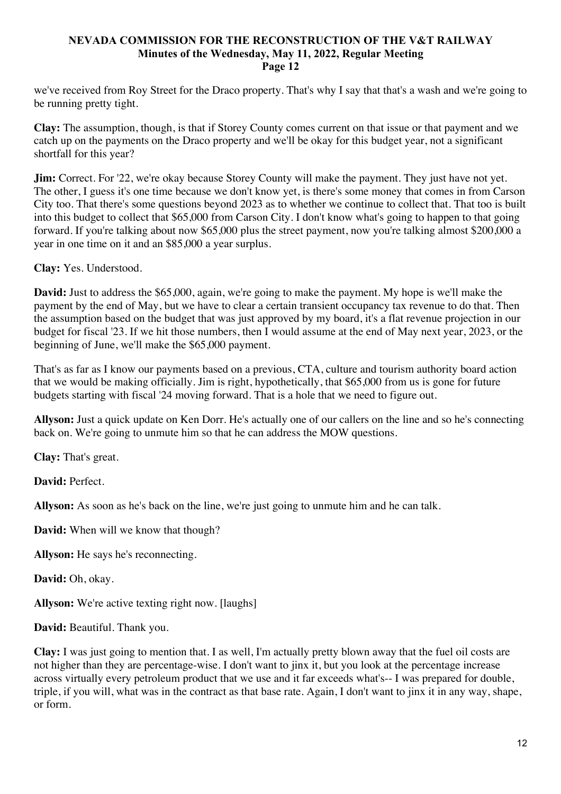we've received from Roy Street for the Draco property. That's why I say that that's a wash and we're going to be running pretty tight.

**Clay:** The assumption, though, is that if Storey County comes current on that issue or that payment and we catch up on the payments on the Draco property and we'll be okay for this budget year, not a significant shortfall for this year?

**Jim:** Correct. For '22, we're okay because Storey County will make the payment. They just have not yet. The other, I guess it's one time because we don't know yet, is there's some money that comes in from Carson City too. That there's some questions beyond 2023 as to whether we continue to collect that. That too is built into this budget to collect that \$65,000 from Carson City. I don't know what's going to happen to that going forward. If you're talking about now \$65,000 plus the street payment, now you're talking almost \$200,000 a year in one time on it and an \$85,000 a year surplus.

**Clay:** Yes. Understood.

**David:** Just to address the \$65,000, again, we're going to make the payment. My hope is we'll make the payment by the end of May, but we have to clear a certain transient occupancy tax revenue to do that. Then the assumption based on the budget that was just approved by my board, it's a flat revenue projection in our budget for fiscal '23. If we hit those numbers, then I would assume at the end of May next year, 2023, or the beginning of June, we'll make the \$65,000 payment.

That's as far as I know our payments based on a previous, CTA, culture and tourism authority board action that we would be making officially. Jim is right, hypothetically, that \$65,000 from us is gone for future budgets starting with fiscal '24 moving forward. That is a hole that we need to figure out.

**Allyson:** Just a quick update on Ken Dorr. He's actually one of our callers on the line and so he's connecting back on. We're going to unmute him so that he can address the MOW questions.

**Clay:** That's great.

**David:** Perfect.

**Allyson:** As soon as he's back on the line, we're just going to unmute him and he can talk.

**David:** When will we know that though?

**Allyson:** He says he's reconnecting.

**David:** Oh, okay.

**Allyson:** We're active texting right now. [laughs]

**David:** Beautiful. Thank you.

**Clay:** I was just going to mention that. I as well, I'm actually pretty blown away that the fuel oil costs are not higher than they are percentage-wise. I don't want to jinx it, but you look at the percentage increase across virtually every petroleum product that we use and it far exceeds what's-- I was prepared for double, triple, if you will, what was in the contract as that base rate. Again, I don't want to jinx it in any way, shape, or form.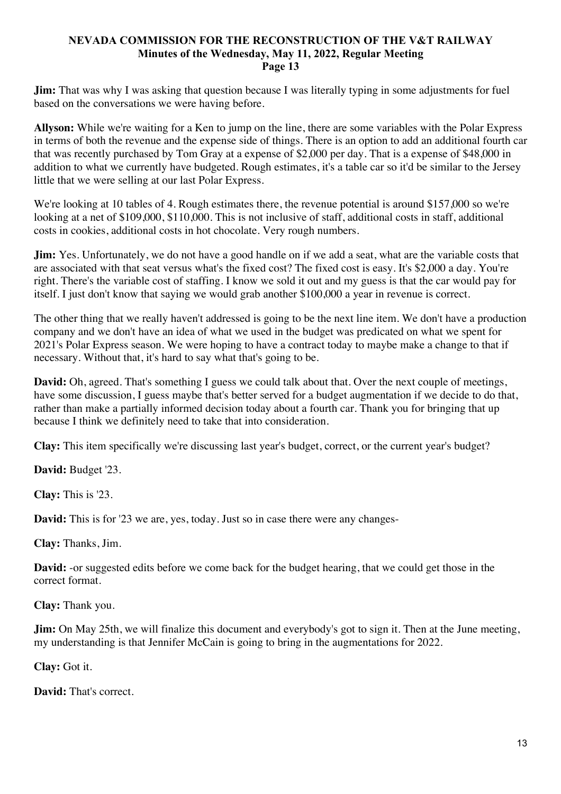**Jim:** That was why I was asking that question because I was literally typing in some adjustments for fuel based on the conversations we were having before.

**Allyson:** While we're waiting for a Ken to jump on the line, there are some variables with the Polar Express in terms of both the revenue and the expense side of things. There is an option to add an additional fourth car that was recently purchased by Tom Gray at a expense of \$2,000 per day. That is a expense of \$48,000 in addition to what we currently have budgeted. Rough estimates, it's a table car so it'd be similar to the Jersey little that we were selling at our last Polar Express.

We're looking at 10 tables of 4. Rough estimates there, the revenue potential is around \$157,000 so we're looking at a net of \$109,000, \$110,000. This is not inclusive of staff, additional costs in staff, additional costs in cookies, additional costs in hot chocolate. Very rough numbers.

**Jim:** Yes. Unfortunately, we do not have a good handle on if we add a seat, what are the variable costs that are associated with that seat versus what's the fixed cost? The fixed cost is easy. It's \$2,000 a day. You're right. There's the variable cost of staffing. I know we sold it out and my guess is that the car would pay for itself. I just don't know that saying we would grab another \$100,000 a year in revenue is correct.

The other thing that we really haven't addressed is going to be the next line item. We don't have a production company and we don't have an idea of what we used in the budget was predicated on what we spent for 2021's Polar Express season. We were hoping to have a contract today to maybe make a change to that if necessary. Without that, it's hard to say what that's going to be.

**David:** Oh, agreed. That's something I guess we could talk about that. Over the next couple of meetings, have some discussion, I guess maybe that's better served for a budget augmentation if we decide to do that, rather than make a partially informed decision today about a fourth car. Thank you for bringing that up because I think we definitely need to take that into consideration.

**Clay:** This item specifically we're discussing last year's budget, correct, or the current year's budget?

**David:** Budget '23.

**Clay:** This is '23.

**David:** This is for '23 we are, yes, today. Just so in case there were any changes-

**Clay:** Thanks, Jim.

**David:** -or suggested edits before we come back for the budget hearing, that we could get those in the correct format.

**Clay:** Thank you.

**Jim:** On May 25th, we will finalize this document and everybody's got to sign it. Then at the June meeting, my understanding is that Jennifer McCain is going to bring in the augmentations for 2022.

**Clay:** Got it.

**David:** That's correct.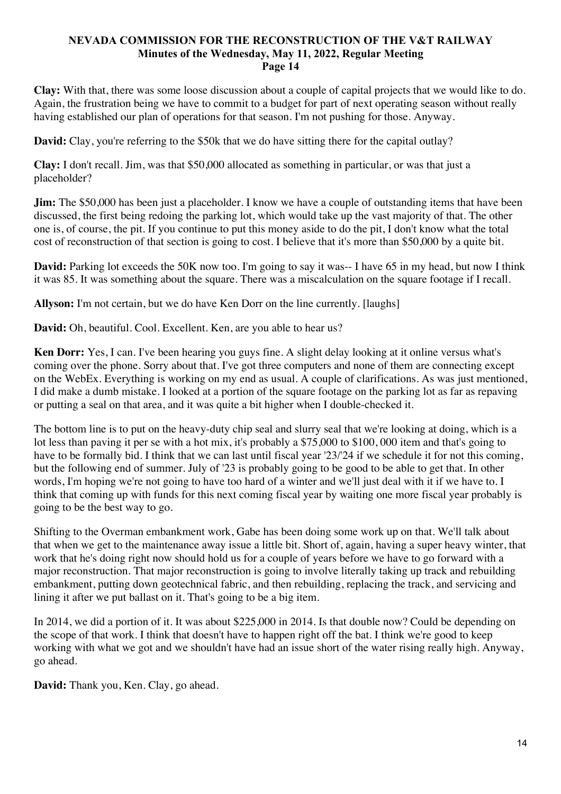**Clay:** With that, there was some loose discussion about a couple of capital projects that we would like to do. Again, the frustration being we have to commit to a budget for part of next operating season without really having established our plan of operations for that season. I'm not pushing for those. Anyway.

**David:** Clay, you're referring to the \$50k that we do have sitting there for the capital outlay?

**Clay:** I don't recall. Jim, was that \$50,000 allocated as something in particular, or was that just a placeholder?

**Jim:** The \$50,000 has been just a placeholder. I know we have a couple of outstanding items that have been discussed, the first being redoing the parking lot, which would take up the vast majority of that. The other one is, of course, the pit. If you continue to put this money aside to do the pit, I don't know what the total cost of reconstruction of that section is going to cost. I believe that it's more than \$50,000 by a quite bit.

**David:** Parking lot exceeds the 50K now too. I'm going to say it was-- I have 65 in my head, but now I think it was 85. It was something about the square. There was a miscalculation on the square footage if I recall.

**Allyson:** I'm not certain, but we do have Ken Dorr on the line currently. [laughs]

**David:** Oh, beautiful. Cool. Excellent. Ken, are you able to hear us?

**Ken Dorr:** Yes, I can. I've been hearing you guys fine. A slight delay looking at it online versus what's coming over the phone. Sorry about that. I've got three computers and none of them are connecting except on the WebEx. Everything is working on my end as usual. A couple of clarifications. As was just mentioned, I did make a dumb mistake. I looked at a portion of the square footage on the parking lot as far as repaving or putting a seal on that area, and it was quite a bit higher when I double-checked it.

The bottom line is to put on the heavy-duty chip seal and slurry seal that we're looking at doing, which is a lot less than paving it per se with a hot mix, it's probably a \$75,000 to \$100, 000 item and that's going to have to be formally bid. I think that we can last until fiscal year '23/'24 if we schedule it for not this coming, but the following end of summer. July of '23 is probably going to be good to be able to get that. In other words, I'm hoping we're not going to have too hard of a winter and we'll just deal with it if we have to. I think that coming up with funds for this next coming fiscal year by waiting one more fiscal year probably is going to be the best way to go.

Shifting to the Overman embankment work, Gabe has been doing some work up on that. We'll talk about that when we get to the maintenance away issue a little bit. Short of, again, having a super heavy winter, that work that he's doing right now should hold us for a couple of years before we have to go forward with a major reconstruction. That major reconstruction is going to involve literally taking up track and rebuilding embankment, putting down geotechnical fabric, and then rebuilding, replacing the track, and servicing and lining it after we put ballast on it. That's going to be a big item.

In 2014, we did a portion of it. It was about \$225,000 in 2014. Is that double now? Could be depending on the scope of that work. I think that doesn't have to happen right off the bat. I think we're good to keep working with what we got and we shouldn't have had an issue short of the water rising really high. Anyway, go ahead.

**David:** Thank you, Ken. Clay, go ahead.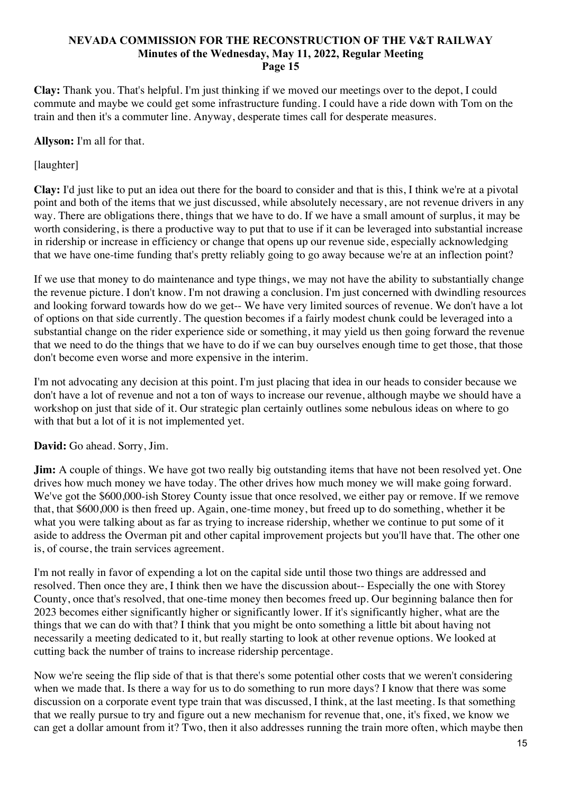**Clay:** Thank you. That's helpful. I'm just thinking if we moved our meetings over to the depot, I could commute and maybe we could get some infrastructure funding. I could have a ride down with Tom on the train and then it's a commuter line. Anyway, desperate times call for desperate measures.

**Allyson:** I'm all for that.

[laughter]

**Clay:** I'd just like to put an idea out there for the board to consider and that is this, I think we're at a pivotal point and both of the items that we just discussed, while absolutely necessary, are not revenue drivers in any way. There are obligations there, things that we have to do. If we have a small amount of surplus, it may be worth considering, is there a productive way to put that to use if it can be leveraged into substantial increase in ridership or increase in efficiency or change that opens up our revenue side, especially acknowledging that we have one-time funding that's pretty reliably going to go away because we're at an inflection point?

If we use that money to do maintenance and type things, we may not have the ability to substantially change the revenue picture. I don't know. I'm not drawing a conclusion. I'm just concerned with dwindling resources and looking forward towards how do we get-- We have very limited sources of revenue. We don't have a lot of options on that side currently. The question becomes if a fairly modest chunk could be leveraged into a substantial change on the rider experience side or something, it may yield us then going forward the revenue that we need to do the things that we have to do if we can buy ourselves enough time to get those, that those don't become even worse and more expensive in the interim.

I'm not advocating any decision at this point. I'm just placing that idea in our heads to consider because we don't have a lot of revenue and not a ton of ways to increase our revenue, although maybe we should have a workshop on just that side of it. Our strategic plan certainly outlines some nebulous ideas on where to go with that but a lot of it is not implemented yet.

**David:** Go ahead. Sorry, Jim.

**Jim:** A couple of things. We have got two really big outstanding items that have not been resolved yet. One drives how much money we have today. The other drives how much money we will make going forward. We've got the \$600,000-ish Storey County issue that once resolved, we either pay or remove. If we remove that, that \$600,000 is then freed up. Again, one-time money, but freed up to do something, whether it be what you were talking about as far as trying to increase ridership, whether we continue to put some of it aside to address the Overman pit and other capital improvement projects but you'll have that. The other one is, of course, the train services agreement.

I'm not really in favor of expending a lot on the capital side until those two things are addressed and resolved. Then once they are, I think then we have the discussion about-- Especially the one with Storey County, once that's resolved, that one-time money then becomes freed up. Our beginning balance then for 2023 becomes either significantly higher or significantly lower. If it's significantly higher, what are the things that we can do with that? I think that you might be onto something a little bit about having not necessarily a meeting dedicated to it, but really starting to look at other revenue options. We looked at cutting back the number of trains to increase ridership percentage.

Now we're seeing the flip side of that is that there's some potential other costs that we weren't considering when we made that. Is there a way for us to do something to run more days? I know that there was some discussion on a corporate event type train that was discussed, I think, at the last meeting. Is that something that we really pursue to try and figure out a new mechanism for revenue that, one, it's fixed, we know we can get a dollar amount from it? Two, then it also addresses running the train more often, which maybe then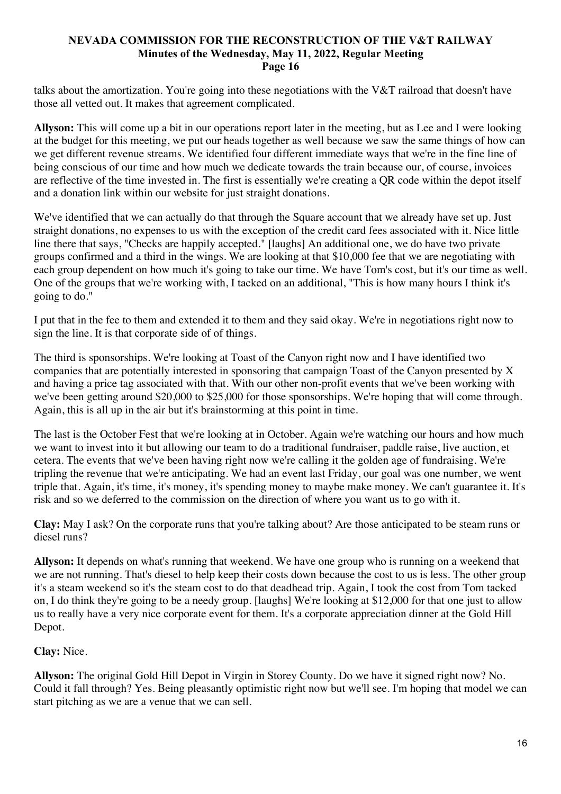talks about the amortization. You're going into these negotiations with the V&T railroad that doesn't have those all vetted out. It makes that agreement complicated.

**Allyson:** This will come up a bit in our operations report later in the meeting, but as Lee and I were looking at the budget for this meeting, we put our heads together as well because we saw the same things of how can we get different revenue streams. We identified four different immediate ways that we're in the fine line of being conscious of our time and how much we dedicate towards the train because our, of course, invoices are reflective of the time invested in. The first is essentially we're creating a QR code within the depot itself and a donation link within our website for just straight donations.

We've identified that we can actually do that through the Square account that we already have set up. Just straight donations, no expenses to us with the exception of the credit card fees associated with it. Nice little line there that says, "Checks are happily accepted." [laughs] An additional one, we do have two private groups confirmed and a third in the wings. We are looking at that \$10,000 fee that we are negotiating with each group dependent on how much it's going to take our time. We have Tom's cost, but it's our time as well. One of the groups that we're working with, I tacked on an additional, "This is how many hours I think it's going to do."

I put that in the fee to them and extended it to them and they said okay. We're in negotiations right now to sign the line. It is that corporate side of of things.

The third is sponsorships. We're looking at Toast of the Canyon right now and I have identified two companies that are potentially interested in sponsoring that campaign Toast of the Canyon presented by X and having a price tag associated with that. With our other non-profit events that we've been working with we've been getting around \$20,000 to \$25,000 for those sponsorships. We're hoping that will come through. Again, this is all up in the air but it's brainstorming at this point in time.

The last is the October Fest that we're looking at in October. Again we're watching our hours and how much we want to invest into it but allowing our team to do a traditional fundraiser, paddle raise, live auction, et cetera. The events that we've been having right now we're calling it the golden age of fundraising. We're tripling the revenue that we're anticipating. We had an event last Friday, our goal was one number, we went triple that. Again, it's time, it's money, it's spending money to maybe make money. We can't guarantee it. It's risk and so we deferred to the commission on the direction of where you want us to go with it.

**Clay:** May I ask? On the corporate runs that you're talking about? Are those anticipated to be steam runs or diesel runs?

**Allyson:** It depends on what's running that weekend. We have one group who is running on a weekend that we are not running. That's diesel to help keep their costs down because the cost to us is less. The other group it's a steam weekend so it's the steam cost to do that deadhead trip. Again, I took the cost from Tom tacked on, I do think they're going to be a needy group. [laughs] We're looking at \$12,000 for that one just to allow us to really have a very nice corporate event for them. It's a corporate appreciation dinner at the Gold Hill Depot.

# **Clay:** Nice.

**Allyson:** The original Gold Hill Depot in Virgin in Storey County. Do we have it signed right now? No. Could it fall through? Yes. Being pleasantly optimistic right now but we'll see. I'm hoping that model we can start pitching as we are a venue that we can sell.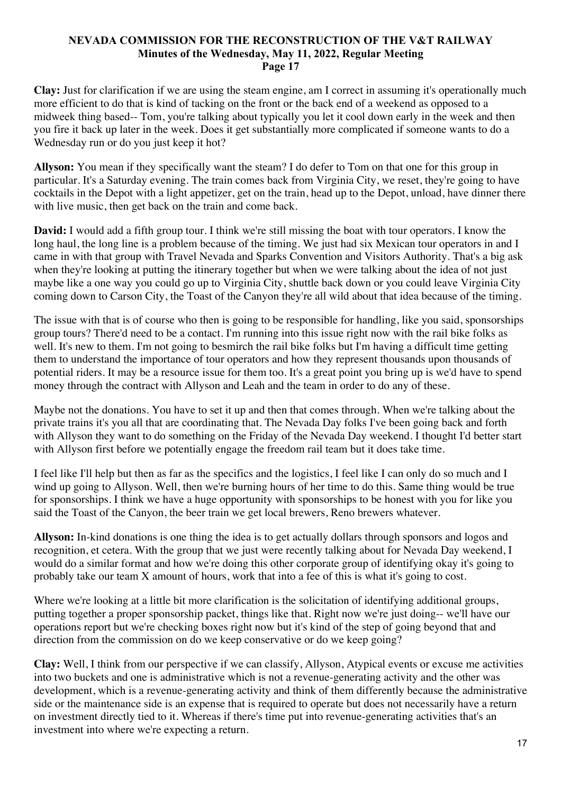**Clay:** Just for clarification if we are using the steam engine, am I correct in assuming it's operationally much more efficient to do that is kind of tacking on the front or the back end of a weekend as opposed to a midweek thing based-- Tom, you're talking about typically you let it cool down early in the week and then you fire it back up later in the week. Does it get substantially more complicated if someone wants to do a Wednesday run or do you just keep it hot?

**Allyson:** You mean if they specifically want the steam? I do defer to Tom on that one for this group in particular. It's a Saturday evening. The train comes back from Virginia City, we reset, they're going to have cocktails in the Depot with a light appetizer, get on the train, head up to the Depot, unload, have dinner there with live music, then get back on the train and come back.

**David:** I would add a fifth group tour. I think we're still missing the boat with tour operators. I know the long haul, the long line is a problem because of the timing. We just had six Mexican tour operators in and I came in with that group with Travel Nevada and Sparks Convention and Visitors Authority. That's a big ask when they're looking at putting the itinerary together but when we were talking about the idea of not just maybe like a one way you could go up to Virginia City, shuttle back down or you could leave Virginia City coming down to Carson City, the Toast of the Canyon they're all wild about that idea because of the timing.

The issue with that is of course who then is going to be responsible for handling, like you said, sponsorships group tours? There'd need to be a contact. I'm running into this issue right now with the rail bike folks as well. It's new to them. I'm not going to besmirch the rail bike folks but I'm having a difficult time getting them to understand the importance of tour operators and how they represent thousands upon thousands of potential riders. It may be a resource issue for them too. It's a great point you bring up is we'd have to spend money through the contract with Allyson and Leah and the team in order to do any of these.

Maybe not the donations. You have to set it up and then that comes through. When we're talking about the private trains it's you all that are coordinating that. The Nevada Day folks I've been going back and forth with Allyson they want to do something on the Friday of the Nevada Day weekend. I thought I'd better start with Allyson first before we potentially engage the freedom rail team but it does take time.

I feel like I'll help but then as far as the specifics and the logistics, I feel like I can only do so much and I wind up going to Allyson. Well, then we're burning hours of her time to do this. Same thing would be true for sponsorships. I think we have a huge opportunity with sponsorships to be honest with you for like you said the Toast of the Canyon, the beer train we get local brewers, Reno brewers whatever.

**Allyson:** In-kind donations is one thing the idea is to get actually dollars through sponsors and logos and recognition, et cetera. With the group that we just were recently talking about for Nevada Day weekend, I would do a similar format and how we're doing this other corporate group of identifying okay it's going to probably take our team X amount of hours, work that into a fee of this is what it's going to cost.

Where we're looking at a little bit more clarification is the solicitation of identifying additional groups, putting together a proper sponsorship packet, things like that. Right now we're just doing-- we'll have our operations report but we're checking boxes right now but it's kind of the step of going beyond that and direction from the commission on do we keep conservative or do we keep going?

**Clay:** Well, I think from our perspective if we can classify, Allyson, Atypical events or excuse me activities into two buckets and one is administrative which is not a revenue-generating activity and the other was development, which is a revenue-generating activity and think of them differently because the administrative side or the maintenance side is an expense that is required to operate but does not necessarily have a return on investment directly tied to it. Whereas if there's time put into revenue-generating activities that's an investment into where we're expecting a return.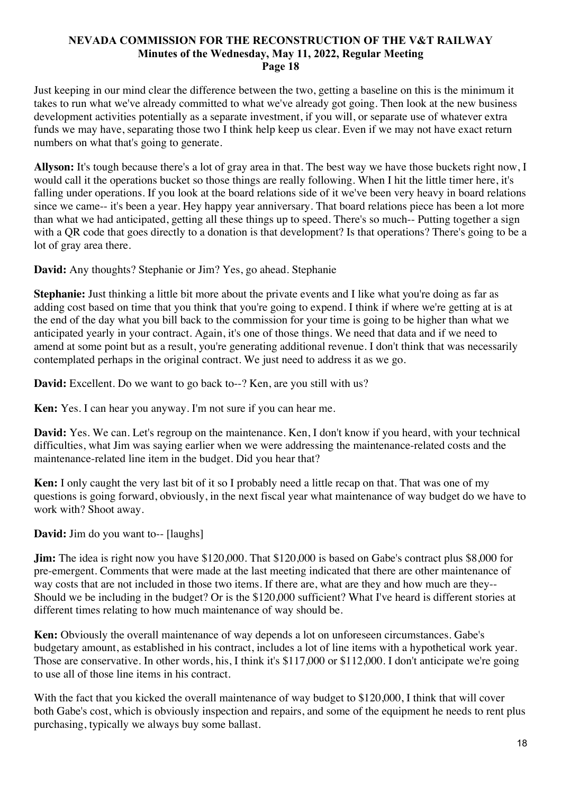Just keeping in our mind clear the difference between the two, getting a baseline on this is the minimum it takes to run what we've already committed to what we've already got going. Then look at the new business development activities potentially as a separate investment, if you will, or separate use of whatever extra funds we may have, separating those two I think help keep us clear. Even if we may not have exact return numbers on what that's going to generate.

**Allyson:** It's tough because there's a lot of gray area in that. The best way we have those buckets right now, I would call it the operations bucket so those things are really following. When I hit the little timer here, it's falling under operations. If you look at the board relations side of it we've been very heavy in board relations since we came-- it's been a year. Hey happy year anniversary. That board relations piece has been a lot more than what we had anticipated, getting all these things up to speed. There's so much-- Putting together a sign with a QR code that goes directly to a donation is that development? Is that operations? There's going to be a lot of gray area there.

**David:** Any thoughts? Stephanie or Jim? Yes, go ahead. Stephanie

**Stephanie:** Just thinking a little bit more about the private events and I like what you're doing as far as adding cost based on time that you think that you're going to expend. I think if where we're getting at is at the end of the day what you bill back to the commission for your time is going to be higher than what we anticipated yearly in your contract. Again, it's one of those things. We need that data and if we need to amend at some point but as a result, you're generating additional revenue. I don't think that was necessarily contemplated perhaps in the original contract. We just need to address it as we go.

**David:** Excellent. Do we want to go back to--? Ken, are you still with us?

**Ken:** Yes. I can hear you anyway. I'm not sure if you can hear me.

**David:** Yes. We can. Let's regroup on the maintenance. Ken, I don't know if you heard, with your technical difficulties, what Jim was saying earlier when we were addressing the maintenance-related costs and the maintenance-related line item in the budget. Did you hear that?

**Ken:** I only caught the very last bit of it so I probably need a little recap on that. That was one of my questions is going forward, obviously, in the next fiscal year what maintenance of way budget do we have to work with? Shoot away.

**David:** Jim do you want to-- [laughs]

**Jim:** The idea is right now you have \$120,000. That \$120,000 is based on Gabe's contract plus \$8,000 for pre-emergent. Comments that were made at the last meeting indicated that there are other maintenance of way costs that are not included in those two items. If there are, what are they and how much are they-- Should we be including in the budget? Or is the \$120,000 sufficient? What I've heard is different stories at different times relating to how much maintenance of way should be.

**Ken:** Obviously the overall maintenance of way depends a lot on unforeseen circumstances. Gabe's budgetary amount, as established in his contract, includes a lot of line items with a hypothetical work year. Those are conservative. In other words, his, I think it's \$117,000 or \$112,000. I don't anticipate we're going to use all of those line items in his contract.

With the fact that you kicked the overall maintenance of way budget to \$120,000, I think that will cover both Gabe's cost, which is obviously inspection and repairs, and some of the equipment he needs to rent plus purchasing, typically we always buy some ballast.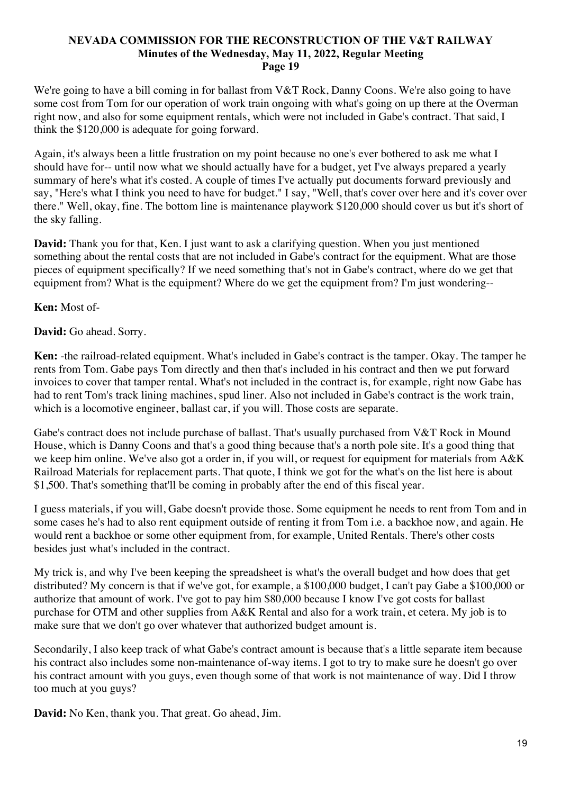We're going to have a bill coming in for ballast from V&T Rock, Danny Coons. We're also going to have some cost from Tom for our operation of work train ongoing with what's going on up there at the Overman right now, and also for some equipment rentals, which were not included in Gabe's contract. That said, I think the \$120,000 is adequate for going forward.

Again, it's always been a little frustration on my point because no one's ever bothered to ask me what I should have for-- until now what we should actually have for a budget, yet I've always prepared a yearly summary of here's what it's costed. A couple of times I've actually put documents forward previously and say, "Here's what I think you need to have for budget." I say, "Well, that's cover over here and it's cover over there." Well, okay, fine. The bottom line is maintenance playwork \$120,000 should cover us but it's short of the sky falling.

**David:** Thank you for that, Ken. I just want to ask a clarifying question. When you just mentioned something about the rental costs that are not included in Gabe's contract for the equipment. What are those pieces of equipment specifically? If we need something that's not in Gabe's contract, where do we get that equipment from? What is the equipment? Where do we get the equipment from? I'm just wondering--

**Ken:** Most of-

**David:** Go ahead. Sorry.

**Ken:** -the railroad-related equipment. What's included in Gabe's contract is the tamper. Okay. The tamper he rents from Tom. Gabe pays Tom directly and then that's included in his contract and then we put forward invoices to cover that tamper rental. What's not included in the contract is, for example, right now Gabe has had to rent Tom's track lining machines, spud liner. Also not included in Gabe's contract is the work train, which is a locomotive engineer, ballast car, if you will. Those costs are separate.

Gabe's contract does not include purchase of ballast. That's usually purchased from V&T Rock in Mound House, which is Danny Coons and that's a good thing because that's a north pole site. It's a good thing that we keep him online. We've also got a order in, if you will, or request for equipment for materials from A&K Railroad Materials for replacement parts. That quote, I think we got for the what's on the list here is about \$1,500. That's something that'll be coming in probably after the end of this fiscal year.

I guess materials, if you will, Gabe doesn't provide those. Some equipment he needs to rent from Tom and in some cases he's had to also rent equipment outside of renting it from Tom i.e. a backhoe now, and again. He would rent a backhoe or some other equipment from, for example, United Rentals. There's other costs besides just what's included in the contract.

My trick is, and why I've been keeping the spreadsheet is what's the overall budget and how does that get distributed? My concern is that if we've got, for example, a \$100,000 budget, I can't pay Gabe a \$100,000 or authorize that amount of work. I've got to pay him \$80,000 because I know I've got costs for ballast purchase for OTM and other supplies from A&K Rental and also for a work train, et cetera. My job is to make sure that we don't go over whatever that authorized budget amount is.

Secondarily, I also keep track of what Gabe's contract amount is because that's a little separate item because his contract also includes some non-maintenance of-way items. I got to try to make sure he doesn't go over his contract amount with you guys, even though some of that work is not maintenance of way. Did I throw too much at you guys?

**David:** No Ken, thank you. That great. Go ahead, Jim.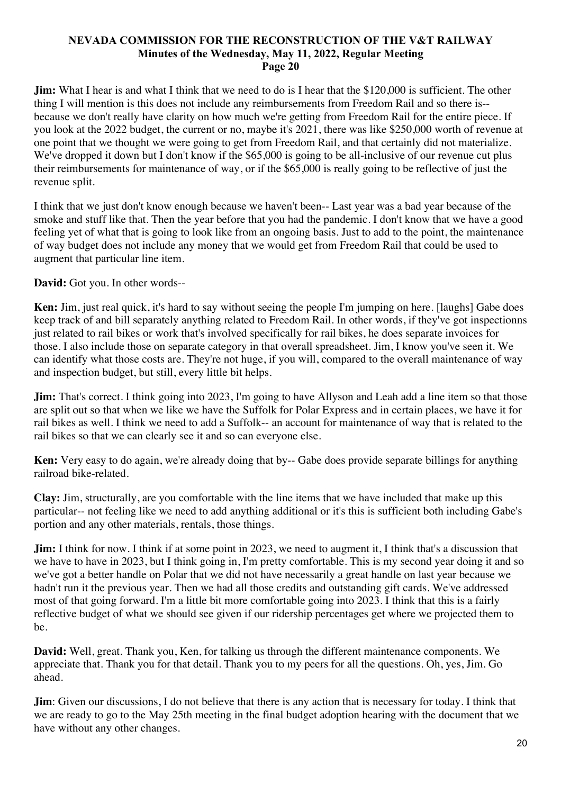**Jim:** What I hear is and what I think that we need to do is I hear that the \$120,000 is sufficient. The other thing I will mention is this does not include any reimbursements from Freedom Rail and so there is- because we don't really have clarity on how much we're getting from Freedom Rail for the entire piece. If you look at the 2022 budget, the current or no, maybe it's 2021, there was like \$250,000 worth of revenue at one point that we thought we were going to get from Freedom Rail, and that certainly did not materialize. We've dropped it down but I don't know if the \$65,000 is going to be all-inclusive of our revenue cut plus their reimbursements for maintenance of way, or if the \$65,000 is really going to be reflective of just the revenue split.

I think that we just don't know enough because we haven't been-- Last year was a bad year because of the smoke and stuff like that. Then the year before that you had the pandemic. I don't know that we have a good feeling yet of what that is going to look like from an ongoing basis. Just to add to the point, the maintenance of way budget does not include any money that we would get from Freedom Rail that could be used to augment that particular line item.

**David:** Got you. In other words--

**Ken:** Jim, just real quick, it's hard to say without seeing the people I'm jumping on here. [laughs] Gabe does keep track of and bill separately anything related to Freedom Rail. In other words, if they've got inspectionns just related to rail bikes or work that's involved specifically for rail bikes, he does separate invoices for those. I also include those on separate category in that overall spreadsheet. Jim, I know you've seen it. We can identify what those costs are. They're not huge, if you will, compared to the overall maintenance of way and inspection budget, but still, every little bit helps.

**Jim:** That's correct. I think going into 2023, I'm going to have Allyson and Leah add a line item so that those are split out so that when we like we have the Suffolk for Polar Express and in certain places, we have it for rail bikes as well. I think we need to add a Suffolk-- an account for maintenance of way that is related to the rail bikes so that we can clearly see it and so can everyone else.

**Ken:** Very easy to do again, we're already doing that by-- Gabe does provide separate billings for anything railroad bike-related.

**Clay:** Jim, structurally, are you comfortable with the line items that we have included that make up this particular-- not feeling like we need to add anything additional or it's this is sufficient both including Gabe's portion and any other materials, rentals, those things.

**Jim:** I think for now. I think if at some point in 2023, we need to augment it, I think that's a discussion that we have to have in 2023, but I think going in, I'm pretty comfortable. This is my second year doing it and so we've got a better handle on Polar that we did not have necessarily a great handle on last year because we hadn't run it the previous year. Then we had all those credits and outstanding gift cards. We've addressed most of that going forward. I'm a little bit more comfortable going into 2023. I think that this is a fairly reflective budget of what we should see given if our ridership percentages get where we projected them to be.

**David:** Well, great. Thank you, Ken, for talking us through the different maintenance components. We appreciate that. Thank you for that detail. Thank you to my peers for all the questions. Oh, yes, Jim. Go ahead.

**Jim**: Given our discussions, I do not believe that there is any action that is necessary for today. I think that we are ready to go to the May 25th meeting in the final budget adoption hearing with the document that we have without any other changes.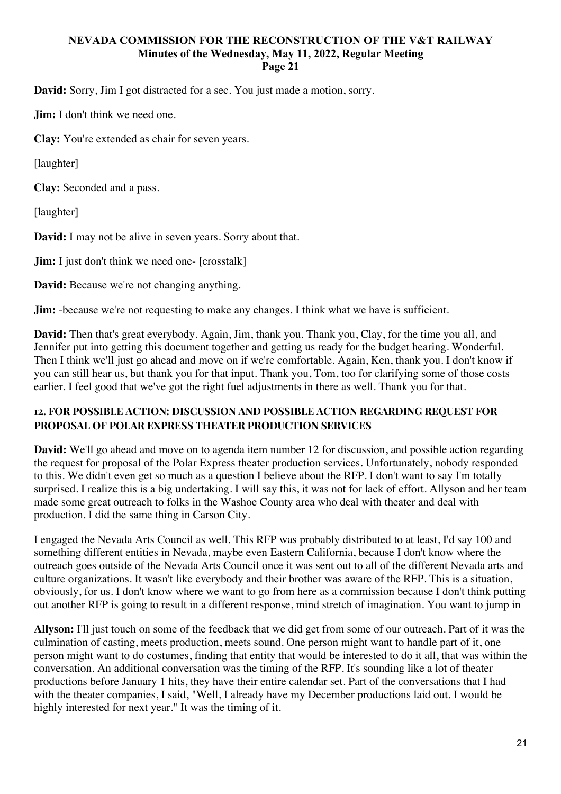**David:** Sorry, Jim I got distracted for a sec. You just made a motion, sorry.

**Jim:** I don't think we need one.

**Clay:** You're extended as chair for seven years.

[laughter]

**Clay:** Seconded and a pass.

[laughter]

**David:** I may not be alive in seven years. Sorry about that.

**Jim:** I just don't think we need one- [crosstalk]

**David:** Because we're not changing anything.

**Jim:** -because we're not requesting to make any changes. I think what we have is sufficient.

**David:** Then that's great everybody. Again, Jim, thank you. Thank you, Clay, for the time you all, and Jennifer put into getting this document together and getting us ready for the budget hearing. Wonderful. Then I think we'll just go ahead and move on if we're comfortable. Again, Ken, thank you. I don't know if you can still hear us, but thank you for that input. Thank you, Tom, too for clarifying some of those costs earlier. I feel good that we've got the right fuel adjustments in there as well. Thank you for that.

# **12. FOR POSSIBLE ACTION: DISCUSSION AND POSSIBLE ACTION REGARDING REQUEST FOR PROPOSAL OF POLAR EXPRESS THEATER PRODUCTION SERVICES**

**David:** We'll go ahead and move on to agenda item number 12 for discussion, and possible action regarding the request for proposal of the Polar Express theater production services. Unfortunately, nobody responded to this. We didn't even get so much as a question I believe about the RFP. I don't want to say I'm totally surprised. I realize this is a big undertaking. I will say this, it was not for lack of effort. Allyson and her team made some great outreach to folks in the Washoe County area who deal with theater and deal with production. I did the same thing in Carson City.

I engaged the Nevada Arts Council as well. This RFP was probably distributed to at least, I'd say 100 and something different entities in Nevada, maybe even Eastern California, because I don't know where the outreach goes outside of the Nevada Arts Council once it was sent out to all of the different Nevada arts and culture organizations. It wasn't like everybody and their brother was aware of the RFP. This is a situation, obviously, for us. I don't know where we want to go from here as a commission because I don't think putting out another RFP is going to result in a different response, mind stretch of imagination. You want to jump in

**Allyson:** I'll just touch on some of the feedback that we did get from some of our outreach. Part of it was the culmination of casting, meets production, meets sound. One person might want to handle part of it, one person might want to do costumes, finding that entity that would be interested to do it all, that was within the conversation. An additional conversation was the timing of the RFP. It's sounding like a lot of theater productions before January 1 hits, they have their entire calendar set. Part of the conversations that I had with the theater companies, I said, "Well, I already have my December productions laid out. I would be highly interested for next year." It was the timing of it.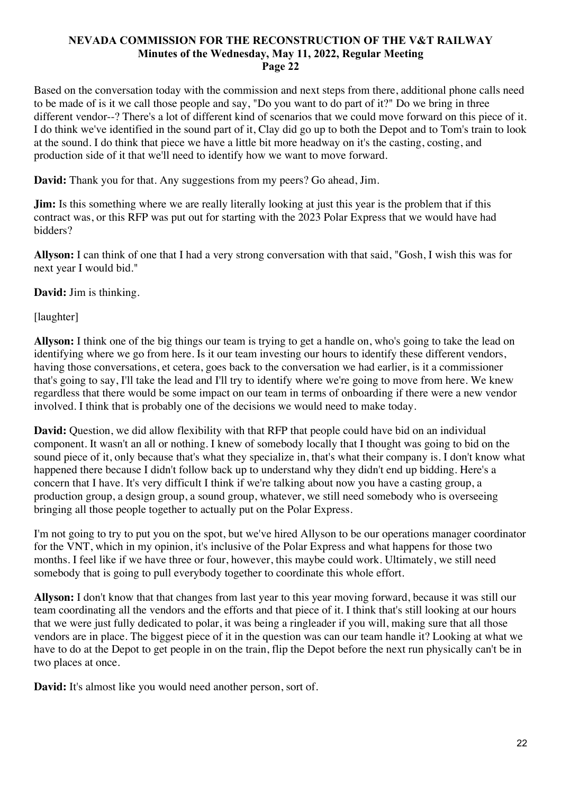Based on the conversation today with the commission and next steps from there, additional phone calls need to be made of is it we call those people and say, "Do you want to do part of it?" Do we bring in three different vendor--? There's a lot of different kind of scenarios that we could move forward on this piece of it. I do think we've identified in the sound part of it, Clay did go up to both the Depot and to Tom's train to look at the sound. I do think that piece we have a little bit more headway on it's the casting, costing, and production side of it that we'll need to identify how we want to move forward.

**David:** Thank you for that. Any suggestions from my peers? Go ahead, Jim.

**Jim:** Is this something where we are really literally looking at just this year is the problem that if this contract was, or this RFP was put out for starting with the 2023 Polar Express that we would have had bidders?

**Allyson:** I can think of one that I had a very strong conversation with that said, "Gosh, I wish this was for next year I would bid."

**David:** Jim is thinking.

[laughter]

**Allyson:** I think one of the big things our team is trying to get a handle on, who's going to take the lead on identifying where we go from here. Is it our team investing our hours to identify these different vendors, having those conversations, et cetera, goes back to the conversation we had earlier, is it a commissioner that's going to say, I'll take the lead and I'll try to identify where we're going to move from here. We knew regardless that there would be some impact on our team in terms of onboarding if there were a new vendor involved. I think that is probably one of the decisions we would need to make today.

**David:** Question, we did allow flexibility with that RFP that people could have bid on an individual component. It wasn't an all or nothing. I knew of somebody locally that I thought was going to bid on the sound piece of it, only because that's what they specialize in, that's what their company is. I don't know what happened there because I didn't follow back up to understand why they didn't end up bidding. Here's a concern that I have. It's very difficult I think if we're talking about now you have a casting group, a production group, a design group, a sound group, whatever, we still need somebody who is overseeing bringing all those people together to actually put on the Polar Express.

I'm not going to try to put you on the spot, but we've hired Allyson to be our operations manager coordinator for the VNT, which in my opinion, it's inclusive of the Polar Express and what happens for those two months. I feel like if we have three or four, however, this maybe could work. Ultimately, we still need somebody that is going to pull everybody together to coordinate this whole effort.

**Allyson:** I don't know that that changes from last year to this year moving forward, because it was still our team coordinating all the vendors and the efforts and that piece of it. I think that's still looking at our hours that we were just fully dedicated to polar, it was being a ringleader if you will, making sure that all those vendors are in place. The biggest piece of it in the question was can our team handle it? Looking at what we have to do at the Depot to get people in on the train, flip the Depot before the next run physically can't be in two places at once.

**David:** It's almost like you would need another person, sort of.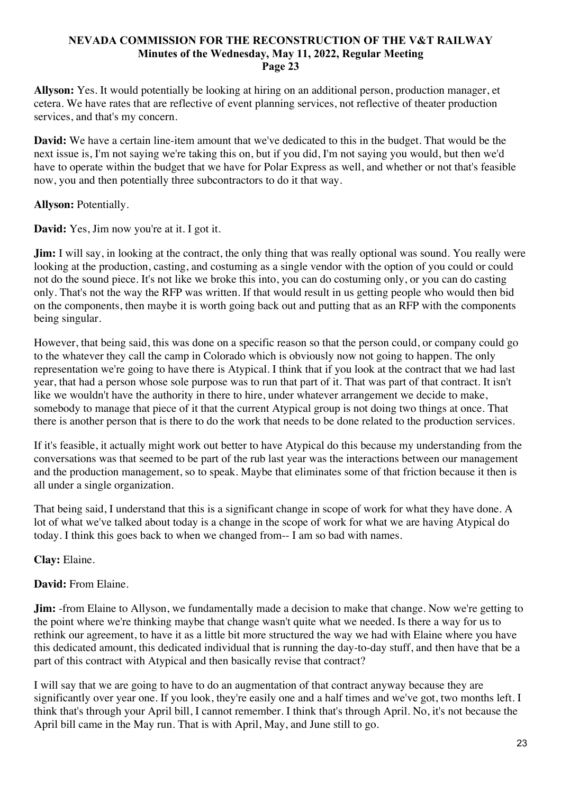**Allyson:** Yes. It would potentially be looking at hiring on an additional person, production manager, et cetera. We have rates that are reflective of event planning services, not reflective of theater production services, and that's my concern.

**David:** We have a certain line-item amount that we've dedicated to this in the budget. That would be the next issue is, I'm not saying we're taking this on, but if you did, I'm not saying you would, but then we'd have to operate within the budget that we have for Polar Express as well, and whether or not that's feasible now, you and then potentially three subcontractors to do it that way.

# **Allyson:** Potentially.

**David:** Yes, Jim now you're at it. I got it.

**Jim:** I will say, in looking at the contract, the only thing that was really optional was sound. You really were looking at the production, casting, and costuming as a single vendor with the option of you could or could not do the sound piece. It's not like we broke this into, you can do costuming only, or you can do casting only. That's not the way the RFP was written. If that would result in us getting people who would then bid on the components, then maybe it is worth going back out and putting that as an RFP with the components being singular.

However, that being said, this was done on a specific reason so that the person could, or company could go to the whatever they call the camp in Colorado which is obviously now not going to happen. The only representation we're going to have there is Atypical. I think that if you look at the contract that we had last year, that had a person whose sole purpose was to run that part of it. That was part of that contract. It isn't like we wouldn't have the authority in there to hire, under whatever arrangement we decide to make, somebody to manage that piece of it that the current Atypical group is not doing two things at once. That there is another person that is there to do the work that needs to be done related to the production services.

If it's feasible, it actually might work out better to have Atypical do this because my understanding from the conversations was that seemed to be part of the rub last year was the interactions between our management and the production management, so to speak. Maybe that eliminates some of that friction because it then is all under a single organization.

That being said, I understand that this is a significant change in scope of work for what they have done. A lot of what we've talked about today is a change in the scope of work for what we are having Atypical do today. I think this goes back to when we changed from-- I am so bad with names.

# **Clay:** Elaine.

# **David:** From Elaine.

**Jim:** -from Elaine to Allyson, we fundamentally made a decision to make that change. Now we're getting to the point where we're thinking maybe that change wasn't quite what we needed. Is there a way for us to rethink our agreement, to have it as a little bit more structured the way we had with Elaine where you have this dedicated amount, this dedicated individual that is running the day-to-day stuff, and then have that be a part of this contract with Atypical and then basically revise that contract?

I will say that we are going to have to do an augmentation of that contract anyway because they are significantly over year one. If you look, they're easily one and a half times and we've got, two months left. I think that's through your April bill, I cannot remember. I think that's through April. No, it's not because the April bill came in the May run. That is with April, May, and June still to go.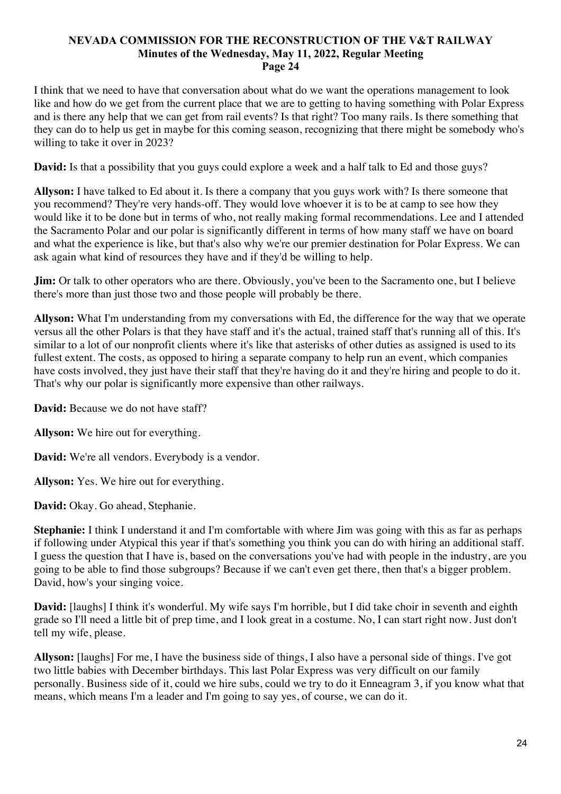I think that we need to have that conversation about what do we want the operations management to look like and how do we get from the current place that we are to getting to having something with Polar Express and is there any help that we can get from rail events? Is that right? Too many rails. Is there something that they can do to help us get in maybe for this coming season, recognizing that there might be somebody who's willing to take it over in 2023?

**David:** Is that a possibility that you guys could explore a week and a half talk to Ed and those guys?

**Allyson:** I have talked to Ed about it. Is there a company that you guys work with? Is there someone that you recommend? They're very hands-off. They would love whoever it is to be at camp to see how they would like it to be done but in terms of who, not really making formal recommendations. Lee and I attended the Sacramento Polar and our polar is significantly different in terms of how many staff we have on board and what the experience is like, but that's also why we're our premier destination for Polar Express. We can ask again what kind of resources they have and if they'd be willing to help.

**Jim:** Or talk to other operators who are there. Obviously, you've been to the Sacramento one, but I believe there's more than just those two and those people will probably be there.

**Allyson:** What I'm understanding from my conversations with Ed, the difference for the way that we operate versus all the other Polars is that they have staff and it's the actual, trained staff that's running all of this. It's similar to a lot of our nonprofit clients where it's like that asterisks of other duties as assigned is used to its fullest extent. The costs, as opposed to hiring a separate company to help run an event, which companies have costs involved, they just have their staff that they're having do it and they're hiring and people to do it. That's why our polar is significantly more expensive than other railways.

**David:** Because we do not have staff?

**Allyson:** We hire out for everything.

**David:** We're all vendors. Everybody is a vendor.

**Allyson:** Yes. We hire out for everything.

**David:** Okay. Go ahead, Stephanie.

**Stephanie:** I think I understand it and I'm comfortable with where Jim was going with this as far as perhaps if following under Atypical this year if that's something you think you can do with hiring an additional staff. I guess the question that I have is, based on the conversations you've had with people in the industry, are you going to be able to find those subgroups? Because if we can't even get there, then that's a bigger problem. David, how's your singing voice.

**David:** [laughs] I think it's wonderful. My wife says I'm horrible, but I did take choir in seventh and eighth grade so I'll need a little bit of prep time, and I look great in a costume. No, I can start right now. Just don't tell my wife, please.

**Allyson:** [laughs] For me, I have the business side of things, I also have a personal side of things. I've got two little babies with December birthdays. This last Polar Express was very difficult on our family personally. Business side of it, could we hire subs, could we try to do it Enneagram 3, if you know what that means, which means I'm a leader and I'm going to say yes, of course, we can do it.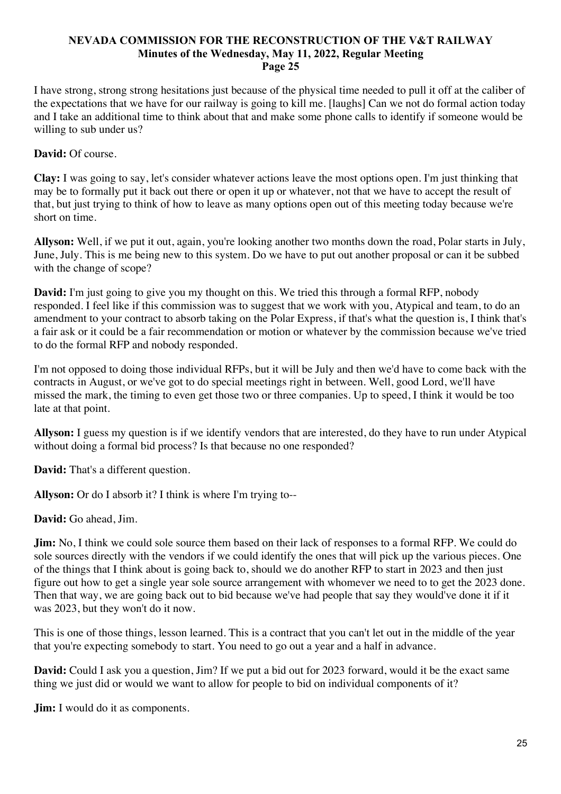I have strong, strong strong hesitations just because of the physical time needed to pull it off at the caliber of the expectations that we have for our railway is going to kill me. [laughs] Can we not do formal action today and I take an additional time to think about that and make some phone calls to identify if someone would be willing to sub under us?

# **David:** Of course.

**Clay:** I was going to say, let's consider whatever actions leave the most options open. I'm just thinking that may be to formally put it back out there or open it up or whatever, not that we have to accept the result of that, but just trying to think of how to leave as many options open out of this meeting today because we're short on time.

**Allyson:** Well, if we put it out, again, you're looking another two months down the road, Polar starts in July, June, July. This is me being new to this system. Do we have to put out another proposal or can it be subbed with the change of scope?

**David:** I'm just going to give you my thought on this. We tried this through a formal RFP, nobody responded. I feel like if this commission was to suggest that we work with you, Atypical and team, to do an amendment to your contract to absorb taking on the Polar Express, if that's what the question is, I think that's a fair ask or it could be a fair recommendation or motion or whatever by the commission because we've tried to do the formal RFP and nobody responded.

I'm not opposed to doing those individual RFPs, but it will be July and then we'd have to come back with the contracts in August, or we've got to do special meetings right in between. Well, good Lord, we'll have missed the mark, the timing to even get those two or three companies. Up to speed, I think it would be too late at that point.

**Allyson:** I guess my question is if we identify vendors that are interested, do they have to run under Atypical without doing a formal bid process? Is that because no one responded?

**David:** That's a different question.

**Allyson:** Or do I absorb it? I think is where I'm trying to--

**David:** Go ahead, Jim.

**Jim:** No, I think we could sole source them based on their lack of responses to a formal RFP. We could do sole sources directly with the vendors if we could identify the ones that will pick up the various pieces. One of the things that I think about is going back to, should we do another RFP to start in 2023 and then just figure out how to get a single year sole source arrangement with whomever we need to to get the 2023 done. Then that way, we are going back out to bid because we've had people that say they would've done it if it was 2023, but they won't do it now.

This is one of those things, lesson learned. This is a contract that you can't let out in the middle of the year that you're expecting somebody to start. You need to go out a year and a half in advance.

**David:** Could I ask you a question, Jim? If we put a bid out for 2023 forward, would it be the exact same thing we just did or would we want to allow for people to bid on individual components of it?

**Jim:** I would do it as components.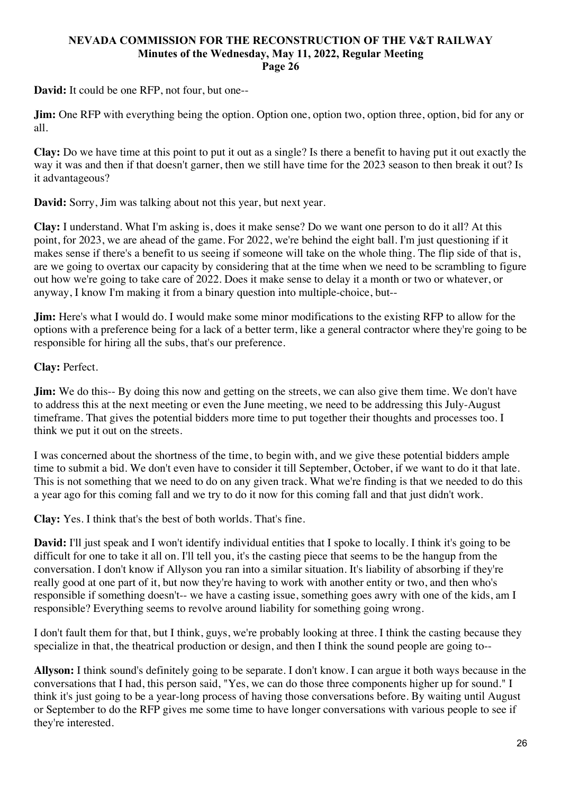**David:** It could be one RFP, not four, but one--

**Jim:** One RFP with everything being the option. Option one, option two, option three, option, bid for any or all.

**Clay:** Do we have time at this point to put it out as a single? Is there a benefit to having put it out exactly the way it was and then if that doesn't garner, then we still have time for the 2023 season to then break it out? Is it advantageous?

**David:** Sorry, Jim was talking about not this year, but next year.

**Clay:** I understand. What I'm asking is, does it make sense? Do we want one person to do it all? At this point, for 2023, we are ahead of the game. For 2022, we're behind the eight ball. I'm just questioning if it makes sense if there's a benefit to us seeing if someone will take on the whole thing. The flip side of that is, are we going to overtax our capacity by considering that at the time when we need to be scrambling to figure out how we're going to take care of 2022. Does it make sense to delay it a month or two or whatever, or anyway, I know I'm making it from a binary question into multiple-choice, but--

**Jim:** Here's what I would do. I would make some minor modifications to the existing RFP to allow for the options with a preference being for a lack of a better term, like a general contractor where they're going to be responsible for hiring all the subs, that's our preference.

# **Clay:** Perfect.

**Jim:** We do this-- By doing this now and getting on the streets, we can also give them time. We don't have to address this at the next meeting or even the June meeting, we need to be addressing this July-August timeframe. That gives the potential bidders more time to put together their thoughts and processes too. I think we put it out on the streets.

I was concerned about the shortness of the time, to begin with, and we give these potential bidders ample time to submit a bid. We don't even have to consider it till September, October, if we want to do it that late. This is not something that we need to do on any given track. What we're finding is that we needed to do this a year ago for this coming fall and we try to do it now for this coming fall and that just didn't work.

**Clay:** Yes. I think that's the best of both worlds. That's fine.

**David:** I'll just speak and I won't identify individual entities that I spoke to locally. I think it's going to be difficult for one to take it all on. I'll tell you, it's the casting piece that seems to be the hangup from the conversation. I don't know if Allyson you ran into a similar situation. It's liability of absorbing if they're really good at one part of it, but now they're having to work with another entity or two, and then who's responsible if something doesn't-- we have a casting issue, something goes awry with one of the kids, am I responsible? Everything seems to revolve around liability for something going wrong.

I don't fault them for that, but I think, guys, we're probably looking at three. I think the casting because they specialize in that, the theatrical production or design, and then I think the sound people are going to--

**Allyson:** I think sound's definitely going to be separate. I don't know. I can argue it both ways because in the conversations that I had, this person said, "Yes, we can do those three components higher up for sound." I think it's just going to be a year-long process of having those conversations before. By waiting until August or September to do the RFP gives me some time to have longer conversations with various people to see if they're interested.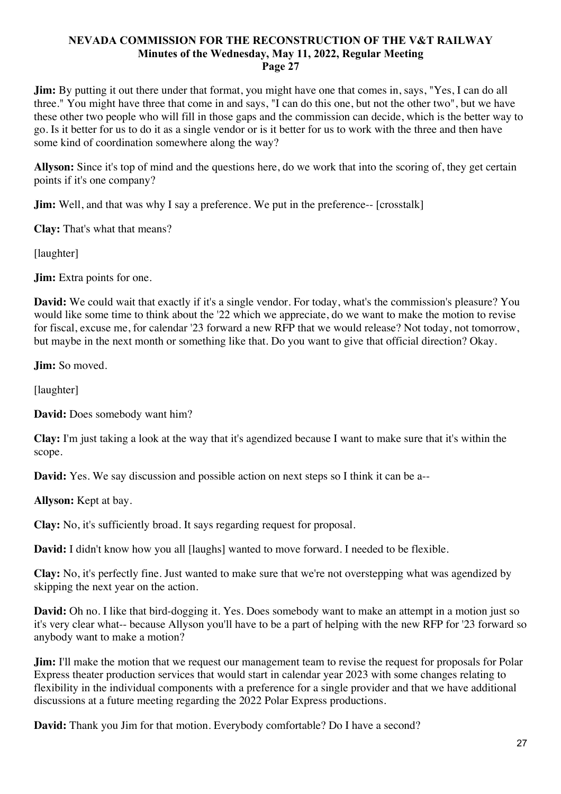**Jim:** By putting it out there under that format, you might have one that comes in, says, "Yes, I can do all three." You might have three that come in and says, "I can do this one, but not the other two", but we have these other two people who will fill in those gaps and the commission can decide, which is the better way to go. Is it better for us to do it as a single vendor or is it better for us to work with the three and then have some kind of coordination somewhere along the way?

**Allyson:** Since it's top of mind and the questions here, do we work that into the scoring of, they get certain points if it's one company?

**Jim:** Well, and that was why I say a preference. We put in the preference-- [crosstalk]

**Clay:** That's what that means?

[laughter]

**Jim:** Extra points for one.

**David:** We could wait that exactly if it's a single vendor. For today, what's the commission's pleasure? You would like some time to think about the '22 which we appreciate, do we want to make the motion to revise for fiscal, excuse me, for calendar '23 forward a new RFP that we would release? Not today, not tomorrow, but maybe in the next month or something like that. Do you want to give that official direction? Okay.

**Jim:** So moved.

[laughter]

**David:** Does somebody want him?

**Clay:** I'm just taking a look at the way that it's agendized because I want to make sure that it's within the scope.

**David:** Yes. We say discussion and possible action on next steps so I think it can be a--

**Allyson:** Kept at bay.

**Clay:** No, it's sufficiently broad. It says regarding request for proposal.

**David:** I didn't know how you all [laughs] wanted to move forward. I needed to be flexible.

**Clay:** No, it's perfectly fine. Just wanted to make sure that we're not overstepping what was agendized by skipping the next year on the action.

**David:** Oh no. I like that bird-dogging it. Yes. Does somebody want to make an attempt in a motion just so it's very clear what-- because Allyson you'll have to be a part of helping with the new RFP for '23 forward so anybody want to make a motion?

**Jim:** I'll make the motion that we request our management team to revise the request for proposals for Polar Express theater production services that would start in calendar year 2023 with some changes relating to flexibility in the individual components with a preference for a single provider and that we have additional discussions at a future meeting regarding the 2022 Polar Express productions.

**David:** Thank you Jim for that motion. Everybody comfortable? Do I have a second?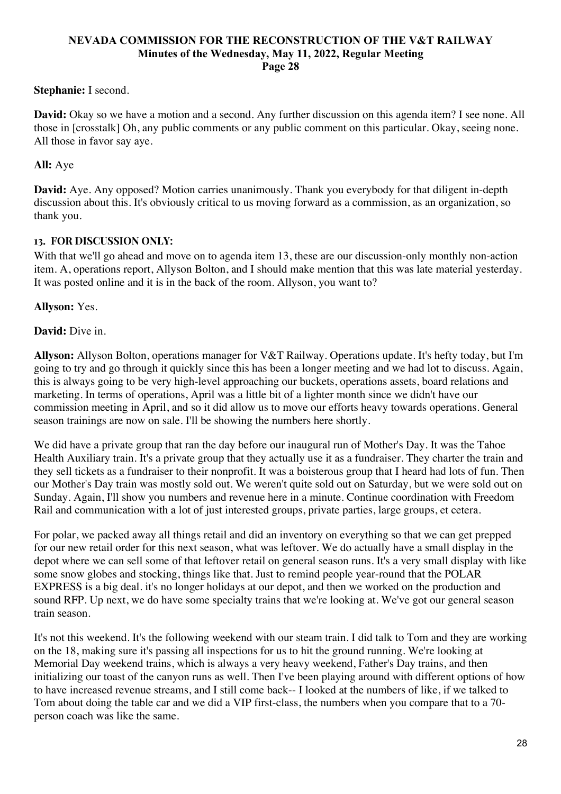## **Stephanie:** I second.

**David:** Okay so we have a motion and a second. Any further discussion on this agenda item? I see none. All those in [crosstalk] Oh, any public comments or any public comment on this particular. Okay, seeing none. All those in favor say aye.

## **All:** Aye

**David:** Aye. Any opposed? Motion carries unanimously. Thank you everybody for that diligent in-depth discussion about this. It's obviously critical to us moving forward as a commission, as an organization, so thank you.

#### **13. FOR DISCUSSION ONLY:**

With that we'll go ahead and move on to agenda item 13, these are our discussion-only monthly non-action item. A, operations report, Allyson Bolton, and I should make mention that this was late material yesterday. It was posted online and it is in the back of the room. Allyson, you want to?

#### **Allyson:** Yes.

#### **David:** Dive in.

**Allyson:** Allyson Bolton, operations manager for V&T Railway. Operations update. It's hefty today, but I'm going to try and go through it quickly since this has been a longer meeting and we had lot to discuss. Again, this is always going to be very high-level approaching our buckets, operations assets, board relations and marketing. In terms of operations, April was a little bit of a lighter month since we didn't have our commission meeting in April, and so it did allow us to move our efforts heavy towards operations. General season trainings are now on sale. I'll be showing the numbers here shortly.

We did have a private group that ran the day before our inaugural run of Mother's Day. It was the Tahoe Health Auxiliary train. It's a private group that they actually use it as a fundraiser. They charter the train and they sell tickets as a fundraiser to their nonprofit. It was a boisterous group that I heard had lots of fun. Then our Mother's Day train was mostly sold out. We weren't quite sold out on Saturday, but we were sold out on Sunday. Again, I'll show you numbers and revenue here in a minute. Continue coordination with Freedom Rail and communication with a lot of just interested groups, private parties, large groups, et cetera.

For polar, we packed away all things retail and did an inventory on everything so that we can get prepped for our new retail order for this next season, what was leftover. We do actually have a small display in the depot where we can sell some of that leftover retail on general season runs. It's a very small display with like some snow globes and stocking, things like that. Just to remind people year-round that the POLAR EXPRESS is a big deal. it's no longer holidays at our depot, and then we worked on the production and sound RFP. Up next, we do have some specialty trains that we're looking at. We've got our general season train season.

It's not this weekend. It's the following weekend with our steam train. I did talk to Tom and they are working on the 18, making sure it's passing all inspections for us to hit the ground running. We're looking at Memorial Day weekend trains, which is always a very heavy weekend, Father's Day trains, and then initializing our toast of the canyon runs as well. Then I've been playing around with different options of how to have increased revenue streams, and I still come back-- I looked at the numbers of like, if we talked to Tom about doing the table car and we did a VIP first-class, the numbers when you compare that to a 70 person coach was like the same.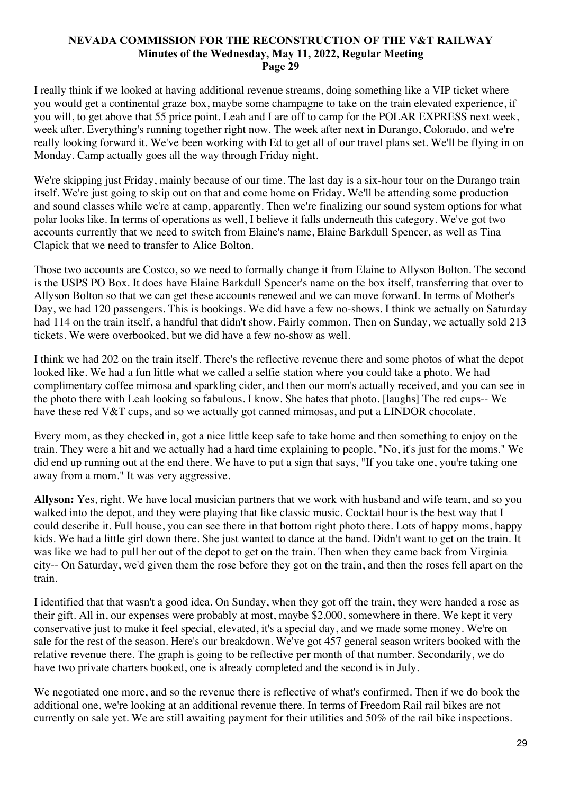I really think if we looked at having additional revenue streams, doing something like a VIP ticket where you would get a continental graze box, maybe some champagne to take on the train elevated experience, if you will, to get above that 55 price point. Leah and I are off to camp for the POLAR EXPRESS next week, week after. Everything's running together right now. The week after next in Durango, Colorado, and we're really looking forward it. We've been working with Ed to get all of our travel plans set. We'll be flying in on Monday. Camp actually goes all the way through Friday night.

We're skipping just Friday, mainly because of our time. The last day is a six-hour tour on the Durango train itself. We're just going to skip out on that and come home on Friday. We'll be attending some production and sound classes while we're at camp, apparently. Then we're finalizing our sound system options for what polar looks like. In terms of operations as well, I believe it falls underneath this category. We've got two accounts currently that we need to switch from Elaine's name, Elaine Barkdull Spencer, as well as Tina Clapick that we need to transfer to Alice Bolton.

Those two accounts are Costco, so we need to formally change it from Elaine to Allyson Bolton. The second is the USPS PO Box. It does have Elaine Barkdull Spencer's name on the box itself, transferring that over to Allyson Bolton so that we can get these accounts renewed and we can move forward. In terms of Mother's Day, we had 120 passengers. This is bookings. We did have a few no-shows. I think we actually on Saturday had 114 on the train itself, a handful that didn't show. Fairly common. Then on Sunday, we actually sold 213 tickets. We were overbooked, but we did have a few no-show as well.

I think we had 202 on the train itself. There's the reflective revenue there and some photos of what the depot looked like. We had a fun little what we called a selfie station where you could take a photo. We had complimentary coffee mimosa and sparkling cider, and then our mom's actually received, and you can see in the photo there with Leah looking so fabulous. I know. She hates that photo. [laughs] The red cups-- We have these red V&T cups, and so we actually got canned mimosas, and put a LINDOR chocolate.

Every mom, as they checked in, got a nice little keep safe to take home and then something to enjoy on the train. They were a hit and we actually had a hard time explaining to people, "No, it's just for the moms." We did end up running out at the end there. We have to put a sign that says, "If you take one, you're taking one away from a mom." It was very aggressive.

**Allyson:** Yes, right. We have local musician partners that we work with husband and wife team, and so you walked into the depot, and they were playing that like classic music. Cocktail hour is the best way that I could describe it. Full house, you can see there in that bottom right photo there. Lots of happy moms, happy kids. We had a little girl down there. She just wanted to dance at the band. Didn't want to get on the train. It was like we had to pull her out of the depot to get on the train. Then when they came back from Virginia city-- On Saturday, we'd given them the rose before they got on the train, and then the roses fell apart on the train.

I identified that that wasn't a good idea. On Sunday, when they got off the train, they were handed a rose as their gift. All in, our expenses were probably at most, maybe \$2,000, somewhere in there. We kept it very conservative just to make it feel special, elevated, it's a special day, and we made some money. We're on sale for the rest of the season. Here's our breakdown. We've got 457 general season writers booked with the relative revenue there. The graph is going to be reflective per month of that number. Secondarily, we do have two private charters booked, one is already completed and the second is in July.

We negotiated one more, and so the revenue there is reflective of what's confirmed. Then if we do book the additional one, we're looking at an additional revenue there. In terms of Freedom Rail rail bikes are not currently on sale yet. We are still awaiting payment for their utilities and 50% of the rail bike inspections.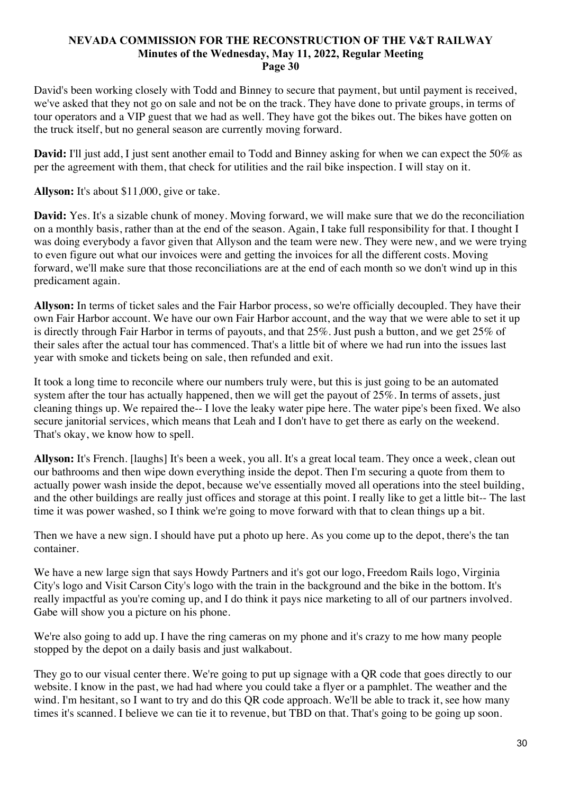David's been working closely with Todd and Binney to secure that payment, but until payment is received, we've asked that they not go on sale and not be on the track. They have done to private groups, in terms of tour operators and a VIP guest that we had as well. They have got the bikes out. The bikes have gotten on the truck itself, but no general season are currently moving forward.

**David:** I'll just add, I just sent another email to Todd and Binney asking for when we can expect the 50% as per the agreement with them, that check for utilities and the rail bike inspection. I will stay on it.

**Allyson:** It's about \$11,000, give or take.

**David:** Yes. It's a sizable chunk of money. Moving forward, we will make sure that we do the reconciliation on a monthly basis, rather than at the end of the season. Again, I take full responsibility for that. I thought I was doing everybody a favor given that Allyson and the team were new. They were new, and we were trying to even figure out what our invoices were and getting the invoices for all the different costs. Moving forward, we'll make sure that those reconciliations are at the end of each month so we don't wind up in this predicament again.

**Allyson:** In terms of ticket sales and the Fair Harbor process, so we're officially decoupled. They have their own Fair Harbor account. We have our own Fair Harbor account, and the way that we were able to set it up is directly through Fair Harbor in terms of payouts, and that 25%. Just push a button, and we get 25% of their sales after the actual tour has commenced. That's a little bit of where we had run into the issues last year with smoke and tickets being on sale, then refunded and exit.

It took a long time to reconcile where our numbers truly were, but this is just going to be an automated system after the tour has actually happened, then we will get the payout of 25%. In terms of assets, just cleaning things up. We repaired the-- I love the leaky water pipe here. The water pipe's been fixed. We also secure janitorial services, which means that Leah and I don't have to get there as early on the weekend. That's okay, we know how to spell.

**Allyson:** It's French. [laughs] It's been a week, you all. It's a great local team. They once a week, clean out our bathrooms and then wipe down everything inside the depot. Then I'm securing a quote from them to actually power wash inside the depot, because we've essentially moved all operations into the steel building, and the other buildings are really just offices and storage at this point. I really like to get a little bit-- The last time it was power washed, so I think we're going to move forward with that to clean things up a bit.

Then we have a new sign. I should have put a photo up here. As you come up to the depot, there's the tan container.

We have a new large sign that says Howdy Partners and it's got our logo, Freedom Rails logo, Virginia City's logo and Visit Carson City's logo with the train in the background and the bike in the bottom. It's really impactful as you're coming up, and I do think it pays nice marketing to all of our partners involved. Gabe will show you a picture on his phone.

We're also going to add up. I have the ring cameras on my phone and it's crazy to me how many people stopped by the depot on a daily basis and just walkabout.

They go to our visual center there. We're going to put up signage with a QR code that goes directly to our website. I know in the past, we had had where you could take a flyer or a pamphlet. The weather and the wind. I'm hesitant, so I want to try and do this QR code approach. We'll be able to track it, see how many times it's scanned. I believe we can tie it to revenue, but TBD on that. That's going to be going up soon.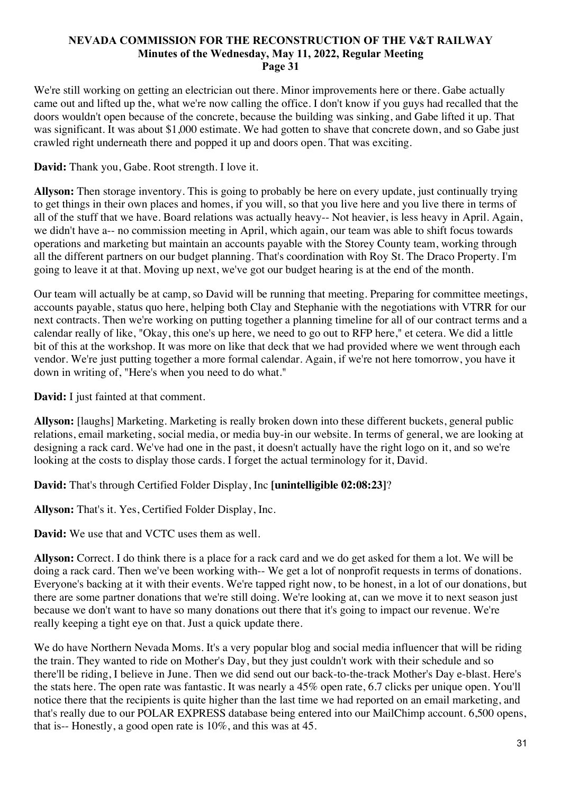We're still working on getting an electrician out there. Minor improvements here or there. Gabe actually came out and lifted up the, what we're now calling the office. I don't know if you guys had recalled that the doors wouldn't open because of the concrete, because the building was sinking, and Gabe lifted it up. That was significant. It was about \$1,000 estimate. We had gotten to shave that concrete down, and so Gabe just crawled right underneath there and popped it up and doors open. That was exciting.

# **David:** Thank you, Gabe. Root strength. I love it.

**Allyson:** Then storage inventory. This is going to probably be here on every update, just continually trying to get things in their own places and homes, if you will, so that you live here and you live there in terms of all of the stuff that we have. Board relations was actually heavy-- Not heavier, is less heavy in April. Again, we didn't have a-- no commission meeting in April, which again, our team was able to shift focus towards operations and marketing but maintain an accounts payable with the Storey County team, working through all the different partners on our budget planning. That's coordination with Roy St. The Draco Property. I'm going to leave it at that. Moving up next, we've got our budget hearing is at the end of the month.

Our team will actually be at camp, so David will be running that meeting. Preparing for committee meetings, accounts payable, status quo here, helping both Clay and Stephanie with the negotiations with VTRR for our next contracts. Then we're working on putting together a planning timeline for all of our contract terms and a calendar really of like, "Okay, this one's up here, we need to go out to RFP here," et cetera. We did a little bit of this at the workshop. It was more on like that deck that we had provided where we went through each vendor. We're just putting together a more formal calendar. Again, if we're not here tomorrow, you have it down in writing of, "Here's when you need to do what."

**David:** I just fainted at that comment.

**Allyson:** [laughs] Marketing. Marketing is really broken down into these different buckets, general public relations, email marketing, social media, or media buy-in our website. In terms of general, we are looking at designing a rack card. We've had one in the past, it doesn't actually have the right logo on it, and so we're looking at the costs to display those cards. I forget the actual terminology for it, David.

# **David:** That's through Certified Folder Display, Inc **[unintelligible 02:08:23]**?

**Allyson:** That's it. Yes, Certified Folder Display, Inc.

**David:** We use that and VCTC uses them as well.

**Allyson:** Correct. I do think there is a place for a rack card and we do get asked for them a lot. We will be doing a rack card. Then we've been working with-- We get a lot of nonprofit requests in terms of donations. Everyone's backing at it with their events. We're tapped right now, to be honest, in a lot of our donations, but there are some partner donations that we're still doing. We're looking at, can we move it to next season just because we don't want to have so many donations out there that it's going to impact our revenue. We're really keeping a tight eye on that. Just a quick update there.

We do have Northern Nevada Moms. It's a very popular blog and social media influencer that will be riding the train. They wanted to ride on Mother's Day, but they just couldn't work with their schedule and so there'll be riding, I believe in June. Then we did send out our back-to-the-track Mother's Day e-blast. Here's the stats here. The open rate was fantastic. It was nearly a 45% open rate, 6.7 clicks per unique open. You'll notice there that the recipients is quite higher than the last time we had reported on an email marketing, and that's really due to our POLAR EXPRESS database being entered into our MailChimp account. 6,500 opens, that is-- Honestly, a good open rate is 10%, and this was at 45.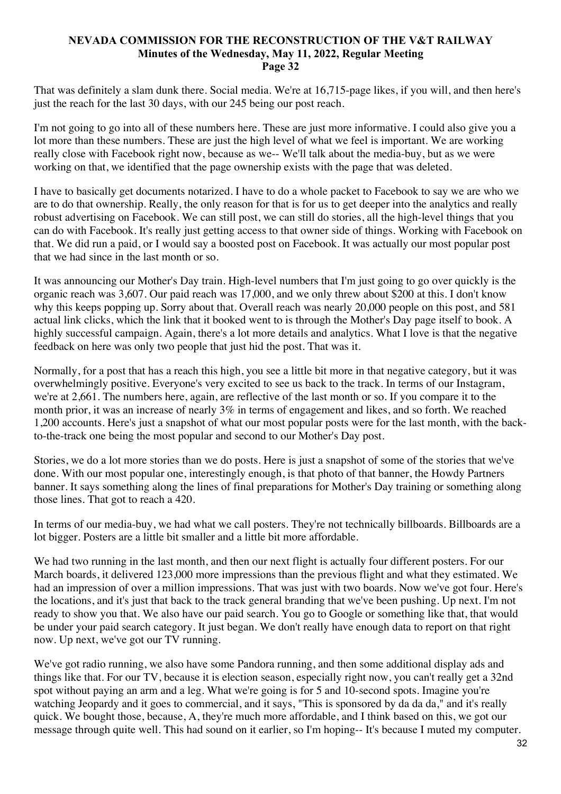That was definitely a slam dunk there. Social media. We're at 16,715-page likes, if you will, and then here's just the reach for the last 30 days, with our 245 being our post reach.

I'm not going to go into all of these numbers here. These are just more informative. I could also give you a lot more than these numbers. These are just the high level of what we feel is important. We are working really close with Facebook right now, because as we-- We'll talk about the media-buy, but as we were working on that, we identified that the page ownership exists with the page that was deleted.

I have to basically get documents notarized. I have to do a whole packet to Facebook to say we are who we are to do that ownership. Really, the only reason for that is for us to get deeper into the analytics and really robust advertising on Facebook. We can still post, we can still do stories, all the high-level things that you can do with Facebook. It's really just getting access to that owner side of things. Working with Facebook on that. We did run a paid, or I would say a boosted post on Facebook. It was actually our most popular post that we had since in the last month or so.

It was announcing our Mother's Day train. High-level numbers that I'm just going to go over quickly is the organic reach was 3,607. Our paid reach was 17,000, and we only threw about \$200 at this. I don't know why this keeps popping up. Sorry about that. Overall reach was nearly 20,000 people on this post, and 581 actual link clicks, which the link that it booked went to is through the Mother's Day page itself to book. A highly successful campaign. Again, there's a lot more details and analytics. What I love is that the negative feedback on here was only two people that just hid the post. That was it.

Normally, for a post that has a reach this high, you see a little bit more in that negative category, but it was overwhelmingly positive. Everyone's very excited to see us back to the track. In terms of our Instagram, we're at 2,661. The numbers here, again, are reflective of the last month or so. If you compare it to the month prior, it was an increase of nearly 3% in terms of engagement and likes, and so forth. We reached 1,200 accounts. Here's just a snapshot of what our most popular posts were for the last month, with the backto-the-track one being the most popular and second to our Mother's Day post.

Stories, we do a lot more stories than we do posts. Here is just a snapshot of some of the stories that we've done. With our most popular one, interestingly enough, is that photo of that banner, the Howdy Partners banner. It says something along the lines of final preparations for Mother's Day training or something along those lines. That got to reach a 420.

In terms of our media-buy, we had what we call posters. They're not technically billboards. Billboards are a lot bigger. Posters are a little bit smaller and a little bit more affordable.

We had two running in the last month, and then our next flight is actually four different posters. For our March boards, it delivered 123,000 more impressions than the previous flight and what they estimated. We had an impression of over a million impressions. That was just with two boards. Now we've got four. Here's the locations, and it's just that back to the track general branding that we've been pushing. Up next. I'm not ready to show you that. We also have our paid search. You go to Google or something like that, that would be under your paid search category. It just began. We don't really have enough data to report on that right now. Up next, we've got our TV running.

We've got radio running, we also have some Pandora running, and then some additional display ads and things like that. For our TV, because it is election season, especially right now, you can't really get a 32nd spot without paying an arm and a leg. What we're going is for 5 and 10-second spots. Imagine you're watching Jeopardy and it goes to commercial, and it says, "This is sponsored by da da da," and it's really quick. We bought those, because, A, they're much more affordable, and I think based on this, we got our message through quite well. This had sound on it earlier, so I'm hoping-- It's because I muted my computer.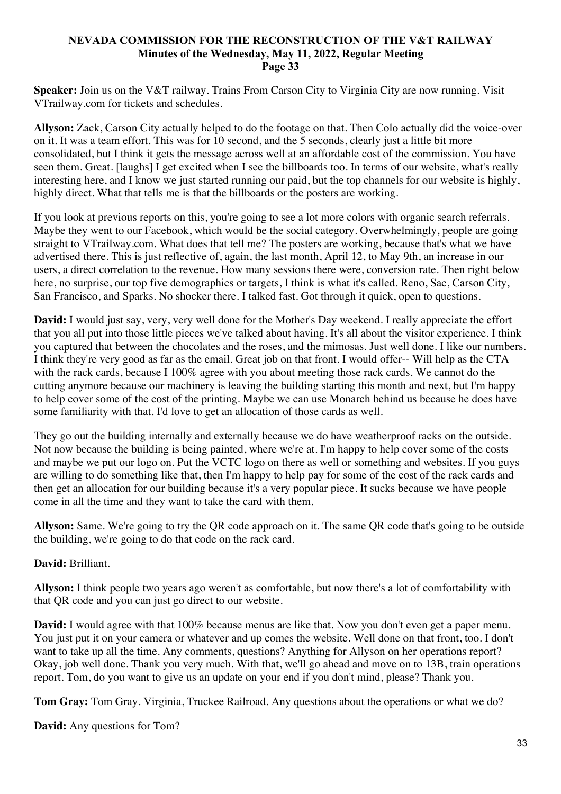**Speaker:** Join us on the V&T railway. Trains From Carson City to Virginia City are now running. Visit VTrailway.com for tickets and schedules.

**Allyson:** Zack, Carson City actually helped to do the footage on that. Then Colo actually did the voice-over on it. It was a team effort. This was for 10 second, and the 5 seconds, clearly just a little bit more consolidated, but I think it gets the message across well at an affordable cost of the commission. You have seen them. Great. [laughs] I get excited when I see the billboards too. In terms of our website, what's really interesting here, and I know we just started running our paid, but the top channels for our website is highly, highly direct. What that tells me is that the billboards or the posters are working.

If you look at previous reports on this, you're going to see a lot more colors with organic search referrals. Maybe they went to our Facebook, which would be the social category. Overwhelmingly, people are going straight to VTrailway.com. What does that tell me? The posters are working, because that's what we have advertised there. This is just reflective of, again, the last month, April 12, to May 9th, an increase in our users, a direct correlation to the revenue. How many sessions there were, conversion rate. Then right below here, no surprise, our top five demographics or targets, I think is what it's called. Reno, Sac, Carson City, San Francisco, and Sparks. No shocker there. I talked fast. Got through it quick, open to questions.

**David:** I would just say, very, very well done for the Mother's Day weekend. I really appreciate the effort that you all put into those little pieces we've talked about having. It's all about the visitor experience. I think you captured that between the chocolates and the roses, and the mimosas. Just well done. I like our numbers. I think they're very good as far as the email. Great job on that front. I would offer-- Will help as the CTA with the rack cards, because I 100% agree with you about meeting those rack cards. We cannot do the cutting anymore because our machinery is leaving the building starting this month and next, but I'm happy to help cover some of the cost of the printing. Maybe we can use Monarch behind us because he does have some familiarity with that. I'd love to get an allocation of those cards as well.

They go out the building internally and externally because we do have weatherproof racks on the outside. Not now because the building is being painted, where we're at. I'm happy to help cover some of the costs and maybe we put our logo on. Put the VCTC logo on there as well or something and websites. If you guys are willing to do something like that, then I'm happy to help pay for some of the cost of the rack cards and then get an allocation for our building because it's a very popular piece. It sucks because we have people come in all the time and they want to take the card with them.

**Allyson:** Same. We're going to try the QR code approach on it. The same QR code that's going to be outside the building, we're going to do that code on the rack card.

# **David:** Brilliant.

**Allyson:** I think people two years ago weren't as comfortable, but now there's a lot of comfortability with that QR code and you can just go direct to our website.

**David:** I would agree with that 100% because menus are like that. Now you don't even get a paper menu. You just put it on your camera or whatever and up comes the website. Well done on that front, too. I don't want to take up all the time. Any comments, questions? Anything for Allyson on her operations report? Okay, job well done. Thank you very much. With that, we'll go ahead and move on to 13B, train operations report. Tom, do you want to give us an update on your end if you don't mind, please? Thank you.

**Tom Gray:** Tom Gray. Virginia, Truckee Railroad. Any questions about the operations or what we do?

**David:** Any questions for Tom?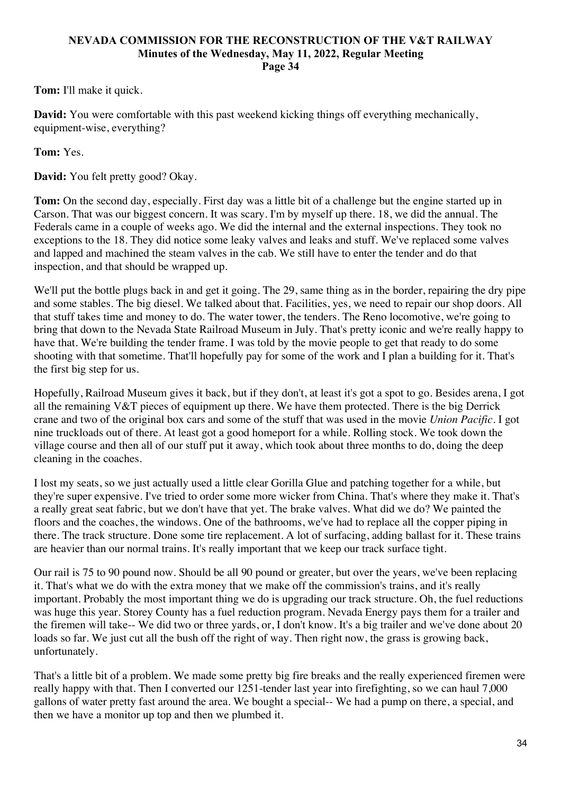**Tom:** I'll make it quick.

**David:** You were comfortable with this past weekend kicking things off everything mechanically, equipment-wise, everything?

**Tom:** Yes.

**David:** You felt pretty good? Okay.

**Tom:** On the second day, especially. First day was a little bit of a challenge but the engine started up in Carson. That was our biggest concern. It was scary. I'm by myself up there. 18, we did the annual. The Federals came in a couple of weeks ago. We did the internal and the external inspections. They took no exceptions to the 18. They did notice some leaky valves and leaks and stuff. We've replaced some valves and lapped and machined the steam valves in the cab. We still have to enter the tender and do that inspection, and that should be wrapped up.

We'll put the bottle plugs back in and get it going. The 29, same thing as in the border, repairing the dry pipe and some stables. The big diesel. We talked about that. Facilities, yes, we need to repair our shop doors. All that stuff takes time and money to do. The water tower, the tenders. The Reno locomotive, we're going to bring that down to the Nevada State Railroad Museum in July. That's pretty iconic and we're really happy to have that. We're building the tender frame. I was told by the movie people to get that ready to do some shooting with that sometime. That'll hopefully pay for some of the work and I plan a building for it. That's the first big step for us.

Hopefully, Railroad Museum gives it back, but if they don't, at least it's got a spot to go. Besides arena, I got all the remaining V&T pieces of equipment up there. We have them protected. There is the big Derrick crane and two of the original box cars and some of the stuff that was used in the movie *Union Pacific*. I got nine truckloads out of there. At least got a good homeport for a while. Rolling stock. We took down the village course and then all of our stuff put it away, which took about three months to do, doing the deep cleaning in the coaches.

I lost my seats, so we just actually used a little clear Gorilla Glue and patching together for a while, but they're super expensive. I've tried to order some more wicker from China. That's where they make it. That's a really great seat fabric, but we don't have that yet. The brake valves. What did we do? We painted the floors and the coaches, the windows. One of the bathrooms, we've had to replace all the copper piping in there. The track structure. Done some tire replacement. A lot of surfacing, adding ballast for it. These trains are heavier than our normal trains. It's really important that we keep our track surface tight.

Our rail is 75 to 90 pound now. Should be all 90 pound or greater, but over the years, we've been replacing it. That's what we do with the extra money that we make off the commission's trains, and it's really important. Probably the most important thing we do is upgrading our track structure. Oh, the fuel reductions was huge this year. Storey County has a fuel reduction program. Nevada Energy pays them for a trailer and the firemen will take-- We did two or three yards, or, I don't know. It's a big trailer and we've done about 20 loads so far. We just cut all the bush off the right of way. Then right now, the grass is growing back, unfortunately.

That's a little bit of a problem. We made some pretty big fire breaks and the really experienced firemen were really happy with that. Then I converted our 1251-tender last year into firefighting, so we can haul 7,000 gallons of water pretty fast around the area. We bought a special-- We had a pump on there, a special, and then we have a monitor up top and then we plumbed it.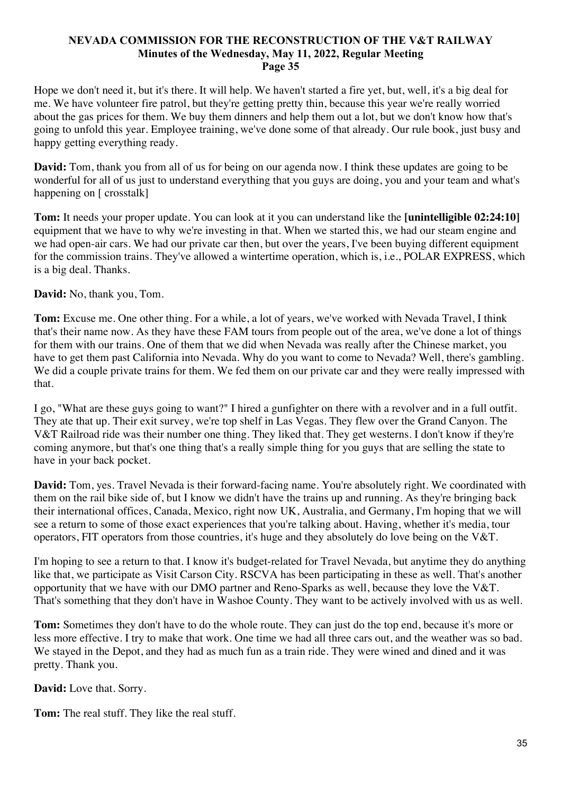Hope we don't need it, but it's there. It will help. We haven't started a fire yet, but, well, it's a big deal for me. We have volunteer fire patrol, but they're getting pretty thin, because this year we're really worried about the gas prices for them. We buy them dinners and help them out a lot, but we don't know how that's going to unfold this year. Employee training, we've done some of that already. Our rule book, just busy and happy getting everything ready.

**David:** Tom, thank you from all of us for being on our agenda now. I think these updates are going to be wonderful for all of us just to understand everything that you guys are doing, you and your team and what's happening on [ crosstalk]

**Tom:** It needs your proper update. You can look at it you can understand like the **[unintelligible 02:24:10]** equipment that we have to why we're investing in that. When we started this, we had our steam engine and we had open-air cars. We had our private car then, but over the years, I've been buying different equipment for the commission trains. They've allowed a wintertime operation, which is, i.e., POLAR EXPRESS, which is a big deal. Thanks.

# **David:** No, thank you, Tom.

**Tom:** Excuse me. One other thing. For a while, a lot of years, we've worked with Nevada Travel, I think that's their name now. As they have these FAM tours from people out of the area, we've done a lot of things for them with our trains. One of them that we did when Nevada was really after the Chinese market, you have to get them past California into Nevada. Why do you want to come to Nevada? Well, there's gambling. We did a couple private trains for them. We fed them on our private car and they were really impressed with that.

I go, "What are these guys going to want?" I hired a gunfighter on there with a revolver and in a full outfit. They ate that up. Their exit survey, we're top shelf in Las Vegas. They flew over the Grand Canyon. The V&T Railroad ride was their number one thing. They liked that. They get westerns. I don't know if they're coming anymore, but that's one thing that's a really simple thing for you guys that are selling the state to have in your back pocket.

**David:** Tom, yes. Travel Nevada is their forward-facing name. You're absolutely right. We coordinated with them on the rail bike side of, but I know we didn't have the trains up and running. As they're bringing back their international offices, Canada, Mexico, right now UK, Australia, and Germany, I'm hoping that we will see a return to some of those exact experiences that you're talking about. Having, whether it's media, tour operators, FIT operators from those countries, it's huge and they absolutely do love being on the V&T.

I'm hoping to see a return to that. I know it's budget-related for Travel Nevada, but anytime they do anything like that, we participate as Visit Carson City. RSCVA has been participating in these as well. That's another opportunity that we have with our DMO partner and Reno-Sparks as well, because they love the V&T. That's something that they don't have in Washoe County. They want to be actively involved with us as well.

**Tom:** Sometimes they don't have to do the whole route. They can just do the top end, because it's more or less more effective. I try to make that work. One time we had all three cars out, and the weather was so bad. We stayed in the Depot, and they had as much fun as a train ride. They were wined and dined and it was pretty. Thank you.

**David:** Love that. Sorry.

**Tom:** The real stuff. They like the real stuff.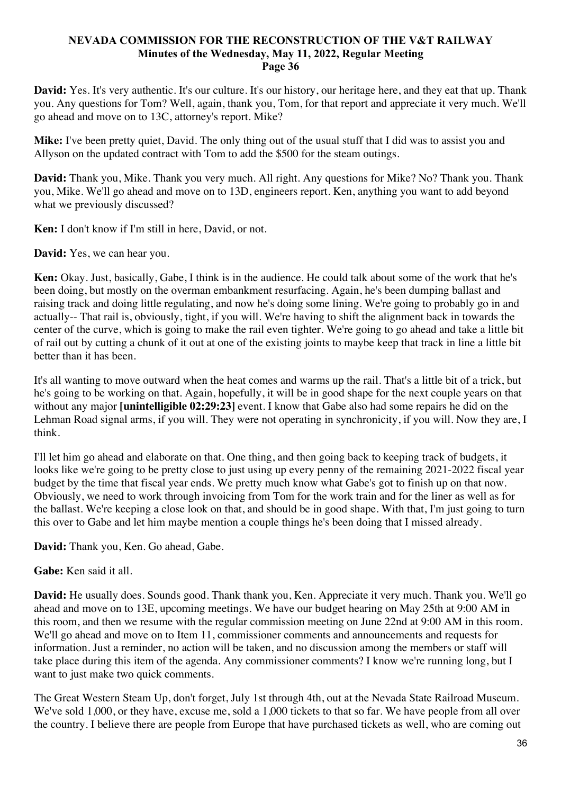**David:** Yes. It's very authentic. It's our culture. It's our history, our heritage here, and they eat that up. Thank you. Any questions for Tom? Well, again, thank you, Tom, for that report and appreciate it very much. We'll go ahead and move on to 13C, attorney's report. Mike?

**Mike:** I've been pretty quiet, David. The only thing out of the usual stuff that I did was to assist you and Allyson on the updated contract with Tom to add the \$500 for the steam outings.

**David:** Thank you, Mike. Thank you very much. All right. Any questions for Mike? No? Thank you. Thank you, Mike. We'll go ahead and move on to 13D, engineers report. Ken, anything you want to add beyond what we previously discussed?

**Ken:** I don't know if I'm still in here, David, or not.

**David:** Yes, we can hear you.

**Ken:** Okay. Just, basically, Gabe, I think is in the audience. He could talk about some of the work that he's been doing, but mostly on the overman embankment resurfacing. Again, he's been dumping ballast and raising track and doing little regulating, and now he's doing some lining. We're going to probably go in and actually-- That rail is, obviously, tight, if you will. We're having to shift the alignment back in towards the center of the curve, which is going to make the rail even tighter. We're going to go ahead and take a little bit of rail out by cutting a chunk of it out at one of the existing joints to maybe keep that track in line a little bit better than it has been.

It's all wanting to move outward when the heat comes and warms up the rail. That's a little bit of a trick, but he's going to be working on that. Again, hopefully, it will be in good shape for the next couple years on that without any major **[unintelligible 02:29:23]** event. I know that Gabe also had some repairs he did on the Lehman Road signal arms, if you will. They were not operating in synchronicity, if you will. Now they are, I think.

I'll let him go ahead and elaborate on that. One thing, and then going back to keeping track of budgets, it looks like we're going to be pretty close to just using up every penny of the remaining 2021-2022 fiscal year budget by the time that fiscal year ends. We pretty much know what Gabe's got to finish up on that now. Obviously, we need to work through invoicing from Tom for the work train and for the liner as well as for the ballast. We're keeping a close look on that, and should be in good shape. With that, I'm just going to turn this over to Gabe and let him maybe mention a couple things he's been doing that I missed already.

**David:** Thank you, Ken. Go ahead, Gabe.

# **Gabe:** Ken said it all.

**David:** He usually does. Sounds good. Thank thank you, Ken. Appreciate it very much. Thank you. We'll go ahead and move on to 13E, upcoming meetings. We have our budget hearing on May 25th at 9:00 AM in this room, and then we resume with the regular commission meeting on June 22nd at 9:00 AM in this room. We'll go ahead and move on to Item 11, commissioner comments and announcements and requests for information. Just a reminder, no action will be taken, and no discussion among the members or staff will take place during this item of the agenda. Any commissioner comments? I know we're running long, but I want to just make two quick comments.

The Great Western Steam Up, don't forget, July 1st through 4th, out at the Nevada State Railroad Museum. We've sold 1,000, or they have, excuse me, sold a 1,000 tickets to that so far. We have people from all over the country. I believe there are people from Europe that have purchased tickets as well, who are coming out